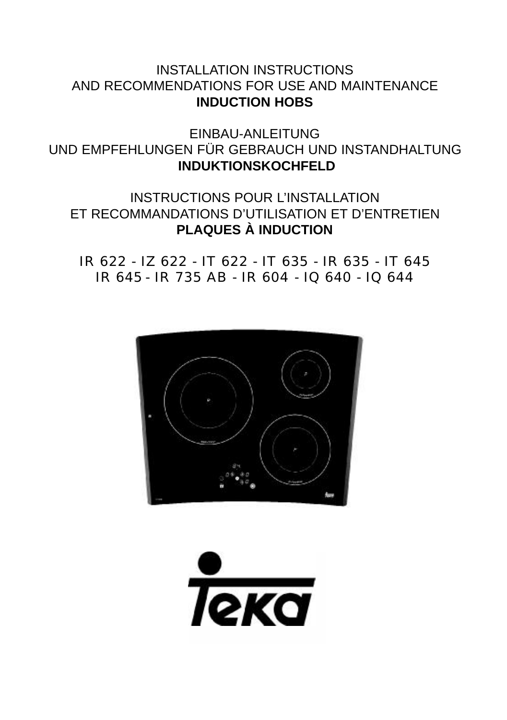## INSTALLATION INSTRUCTIONS AND RECOMMENDATIONS FOR USE AND MAINTENANCE **INDUCTION HOBS**

EINBAU-ANLEITUNG UND EMPFEHLUNGEN FÜR GEBRAUCH UND INSTANDHALTUNG **INDUKTIONSKOCHFELD**

## INSTRUCTIONS POUR L'INSTALLATION ET RECOMMANDATIONS D'UTILISATION ET D'ENTRETIEN **PLAQUES À INDUCTION**

IR 622 - IZ 622 - IT 622 - IT 635 - IR 635 - IT 645 IR 645 - IR 735 AB - IR 604 - IQ 640 - IQ 644



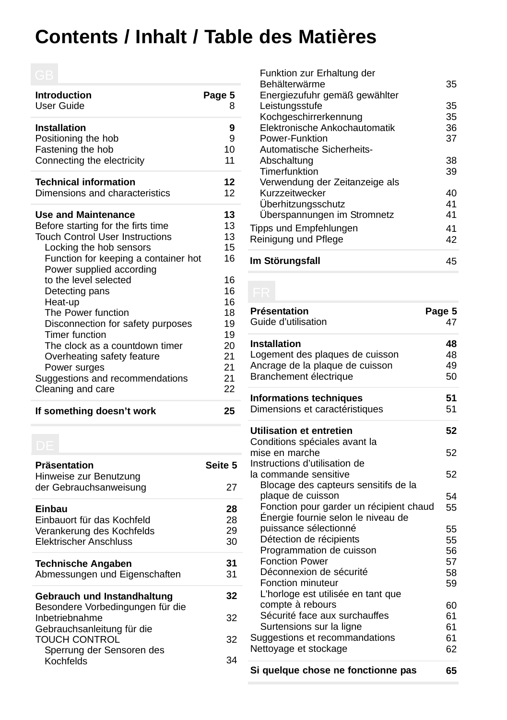# **Contents / Inhalt / Table des Matières**

| <b>Introduction</b><br>User Guide                                | Page 5<br>8  |
|------------------------------------------------------------------|--------------|
| <b>Installation</b><br>Positioning the hob<br>Fastening the hob  | 9<br>9<br>10 |
| Connecting the electricity                                       | 11           |
| <b>Technical information</b>                                     | 12           |
| Dimensions and characteristics                                   | 12           |
| <b>Use and Maintenance</b>                                       | 13           |
| Before starting for the firts time                               | 13           |
| <b>Touch Control User Instructions</b>                           | 13           |
| Locking the hob sensors                                          | 15           |
| Function for keeping a container hot<br>Power supplied according | 16           |
| to the level selected                                            | 16           |
| Detecting pans                                                   | 16           |
| Heat-up                                                          | 16           |
| The Power function                                               | 18           |
| Disconnection for safety purposes                                | 19           |
| Timer function                                                   | 19           |
| The clock as a countdown timer                                   | 20           |
| Overheating safety feature                                       | 21           |
| Power surges                                                     | 21           |
| Suggestions and recommendations                                  | 21           |
| Cleaning and care                                                | 22           |
| If something doesn't work                                        | 25           |

| Präsentation<br>Hinweise zur Benutzung                          | Seite 5 |
|-----------------------------------------------------------------|---------|
| der Gebrauchsanweisung                                          | 27      |
| Einbau                                                          | 28      |
| Einbauort für das Kochfeld                                      | 28      |
| Verankerung des Kochfelds                                       | 29      |
| Flektrischer Anschluss                                          | 30      |
| <b>Technische Angaben</b>                                       | 31      |
| Abmessungen und Eigenschaften                                   | 31      |
| Gebrauch und Instandhaltung<br>Besondere Vorbedingungen für die | 32      |
| Inbetriebnahme<br>Gebrauchsanleitung für die                    | 32      |
| <b>TOUCH CONTROL</b><br>Sperrung der Sensoren des               | 32      |
| Kochfelds                                                       | 34      |

| Im Störungsfall                | 45 |
|--------------------------------|----|
| Reinigung und Pflege           | 42 |
| Tipps und Empfehlungen         | 41 |
| Überspannungen im Stromnetz    | 41 |
| Überhitzungsschutz             | 41 |
| Kurzzeitwecker                 | 40 |
| Verwendung der Zeitanzeige als |    |
| Timerfunktion                  | 39 |
| Abschaltung                    | 38 |
| Automatische Sicherheits-      |    |
| Power-Funktion                 | 37 |
| Elektronische Ankochautomatik  | 36 |
| Kochgeschirrerkennung          | 35 |
| Leistungsstufe                 | 35 |
| Energiezufuhr gemäß gewählter  |    |
| Behälterwärme                  | 35 |
| Funktion zur Erhaltung der     |    |

| Présentation<br>Guide d'utilisation                    | Page 5<br>47 |
|--------------------------------------------------------|--------------|
| <b>Installation</b>                                    | 48           |
| Logement des plaques de cuisson                        | 48           |
| Ancrage de la plaque de cuisson                        | 49           |
| Branchement électrique                                 | 50           |
| <b>Informations techniques</b>                         | 51           |
| Dimensions et caractéristiques                         | 51           |
| Utilisation et entretien                               | 52           |
| Conditions spéciales avant la                          |              |
| mise en marche                                         | 52           |
| Instructions d'utilisation de                          |              |
| la commande sensitive                                  | 52           |
| Blocage des capteurs sensitifs de la                   |              |
| plaque de cuisson                                      | 54           |
| Fonction pour garder un récipient chaud                | 55           |
| Énergie fournie selon le niveau de                     |              |
| puissance sélectionné                                  | 55           |
| Détection de récipients                                | 55           |
| Programmation de cuisson                               | 56           |
| <b>Fonction Power</b>                                  | 57           |
| Déconnexion de sécurité<br>Fonction minuteur           | 58           |
|                                                        | 59           |
| L'horloge est utilisée en tant que<br>compte à rebours |              |
| Sécurité face aux surchauffes                          | 60<br>61     |
| Surtensions sur la ligne                               | 61           |
| Suggestions et recommandations                         | 61           |
| Nettoyage et stockage                                  | 62           |
|                                                        |              |
| Si quelque chose ne fonctionne pas                     | 65           |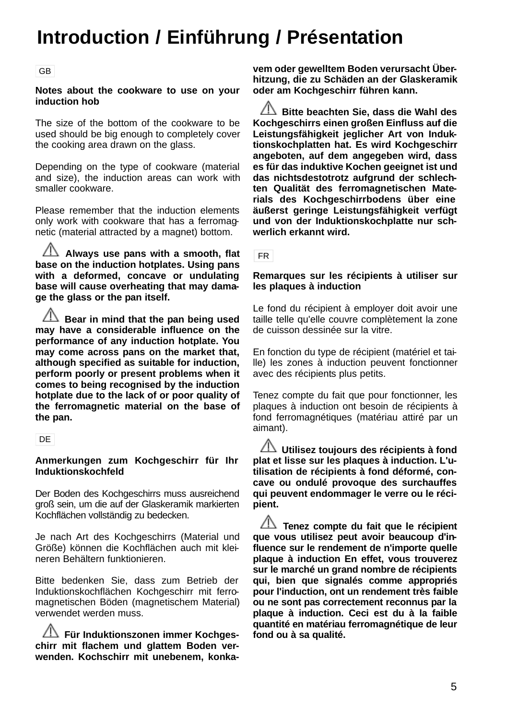# **Introduction / Einführung / Présentation**

#### GB

#### **Notes about the cookware to use on your induction hob**

The size of the bottom of the cookware to be used should be big enough to completely cover the cooking area drawn on the glass.

Depending on the type of cookware (material and size), the induction areas can work with smaller cookware.

Please remember that the induction elements only work with cookware that has a ferromagnetic (material attracted by a magnet) bottom.

**Always use pans with a smooth, flat base on the induction hotplates. Using pans with a deformed, concave or undulating base will cause overheating that may damage the glass or the pan itself.**

 $\sqrt{2}$  Bear in mind that the pan being used **may have a considerable influence on the performance of any induction hotplate. You may come across pans on the market that, although specified as suitable for induction, perform poorly or present problems when it comes to being recognised by the induction hotplate due to the lack of or poor quality of the ferromagnetic material on the base of the pan.**

DE

#### **Anmerkungen zum Kochgeschirr für Ihr Induktionskochfeld**

Der Boden des Kochgeschirrs muss ausreichend groß sein, um die auf der Glaskeramik markierten Kochflächen vollständig zu bedecken.

Je nach Art des Kochgeschirrs (Material und Größe) können die Kochflächen auch mit kleineren Behältern funktionieren.

Bitte bedenken Sie, dass zum Betrieb der Induktionskochflächen Kochgeschirr mit ferromagnetischen Böden (magnetischem Material) verwendet werden muss.

**Für Induktionszonen immer Kochgeschirr mit flachem und glattem Boden verwenden. Kochschirr mit unebenem, konka-** **vem oder gewelltem Boden verursacht Überhitzung, die zu Schäden an der Glaskeramik oder am Kochgeschirr führen kann.**

**Bitte beachten Sie, dass die Wahl des Kochgeschirrs einen großen Einfluss auf die Leistungsfähigkeit jeglicher Art von Induktionskochplatten hat. Es wird Kochgeschirr angeboten, auf dem angegeben wird, dass es für das induktive Kochen geeignet ist und das nichtsdestotrotz aufgrund der schlechten Qualität des ferromagnetischen Materials des Kochgeschirrbodens über eine äußerst geringe Leistungsfähigkeit verfügt und von der Induktionskochplatte nur schwerlich erkannt wird.**

FR

#### **Remarques sur les récipients à utiliser sur les plaques à induction**

Le fond du récipient à employer doit avoir une taille telle qu'elle couvre complètement la zone de cuisson dessinée sur la vitre.

En fonction du type de récipient (matériel et taille) les zones à induction peuvent fonctionner avec des récipients plus petits.

Tenez compte du fait que pour fonctionner, les plaques à induction ont besoin de récipients à fond ferromagnétiques (matériau attiré par un aimant).

**Utilisez toujours des récipients à fond plat et lisse sur les plaques à induction. L'utilisation de récipients à fond déformé, concave ou ondulé provoque des surchauffes qui peuvent endommager le verre ou le récipient.**

**Tenez compte du fait que le récipient que vous utilisez peut avoir beaucoup d'influence sur le rendement de n'importe quelle plaque à induction En effet, vous trouverez sur le marché un grand nombre de récipients qui, bien que signalés comme appropriés pour l'induction, ont un rendement très faible ou ne sont pas correctement reconnus par la plaque à induction. Ceci est du à la faible quantité en matériau ferromagnétique de leur fond ou à sa qualité.**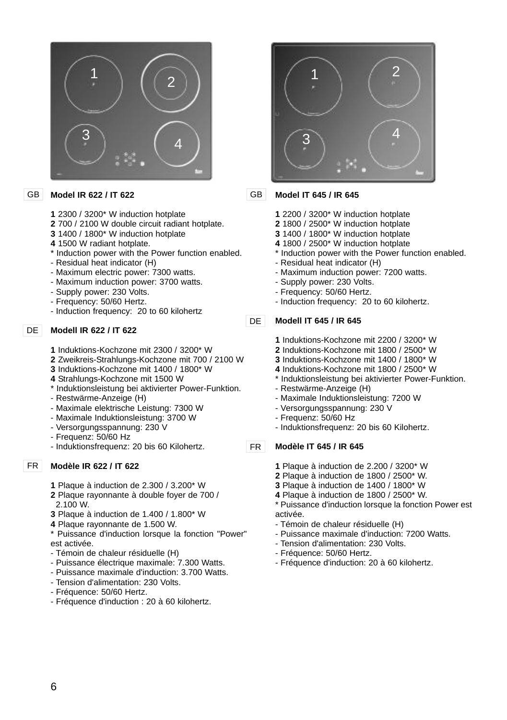

#### **Model IR 622 / IT 622** GB

- **1** 2300 / 3200\* W induction hotplate
- **2** 700 / 2100 W double circuit radiant hotplate.
- **3** 1400 / 1800\* W induction hotplate
- **4** 1500 W radiant hotplate.
- \* Induction power with the Power function enabled.
- Residual heat indicator (H)
- Maximum electric power: 7300 watts.
- Maximum induction power: 3700 watts.
- Supply power: 230 Volts.
- Frequency: 50/60 Hertz.
- Induction frequency: 20 to 60 kilohertz

#### **Modell IR 622 / IT 622** DE I

- **1** Induktions-Kochzone mit 2300 / 3200\* W
- **2** Zweikreis-Strahlungs-Kochzone mit 700 / 2100 W
- **3** Induktions-Kochzone mit 1400 / 1800\* W
- **4** Strahlungs-Kochzone mit 1500 W
- \* Induktionsleistung bei aktivierter Power-Funktion.
- Restwärme-Anzeige (H)
- Maximale elektrische Leistung: 7300 W
- Maximale Induktionsleistung: 3700 W
- Versorgungsspannung: 230 V
- Frequenz: 50/60 Hz
- Induktionsfrequenz: 20 bis 60 Kilohertz.

#### **Modèle IR 622 / IT 622** FR

- **1** Plaque à induction de 2.300 / 3.200\* W
- **2** Plaque rayonnante à double foyer de 700 / 2.100 W.
- **3** Plaque à induction de 1.400 / 1.800\* W
- **4** Plaque rayonnante de 1.500 W.
- \* Puissance d'induction lorsque la fonction "Power" est activée.
- Témoin de chaleur résiduelle (H)
- Puissance électrique maximale: 7.300 Watts.
- Puissance maximale d'induction: 3.700 Watts.
- Tension d'alimentation: 230 Volts.
- Fréquence: 50/60 Hertz.
- Fréquence d'induction : 20 à 60 kilohertz.



#### **Model IT 645 / IR 645** GB

- **1** 2200 / 3200\* W induction hotplate
- **2** 1800 / 2500\* W induction hotplate
- **3** 1400 / 1800\* W induction hotplate
- **4** 1800 / 2500\* W induction hotplate
- \* Induction power with the Power function enabled. - Residual heat indicator (H)
- Maximum induction power: 7200 watts.
- Supply power: 230 Volts.
- Frequency: 50/60 Hertz.
- Induction frequency: 20 to 60 kilohertz.

#### **Modell IT 645 / IR 645**

- **1** Induktions-Kochzone mit 2200 / 3200\* W
- **2** Induktions-Kochzone mit 1800 / 2500\* W
- **3** Induktions-Kochzone mit 1400 / 1800\* W
- **4** Induktions-Kochzone mit 1800 / 2500\* W
- \* Induktionsleistung bei aktivierter Power-Funktion.
- Restwärme-Anzeige (H)
- Maximale Induktionsleistung: 7200 W
- Versorgungsspannung: 230 V
- Frequenz: 50/60 Hz
- Induktionsfrequenz: 20 bis 60 Kilohertz.

#### **Modèle IT 645 / IR 645** FR

- **1** Plaque à induction de 2.200 / 3200\* W
- **2** Plaque à induction de 1800 / 2500\* W.
- **3** Plaque à induction de 1400 / 1800\* W
- **4** Plaque à induction de 1800 / 2500\* W.
- \* Puissance d'induction lorsque la fonction Power est activée.
- Témoin de chaleur résiduelle (H)
- Puissance maximale d'induction: 7200 Watts.
- Tension d'alimentation: 230 Volts.
- Fréquence: 50/60 Hertz.
- Fréquence d'induction: 20 à 60 kilohertz.

DE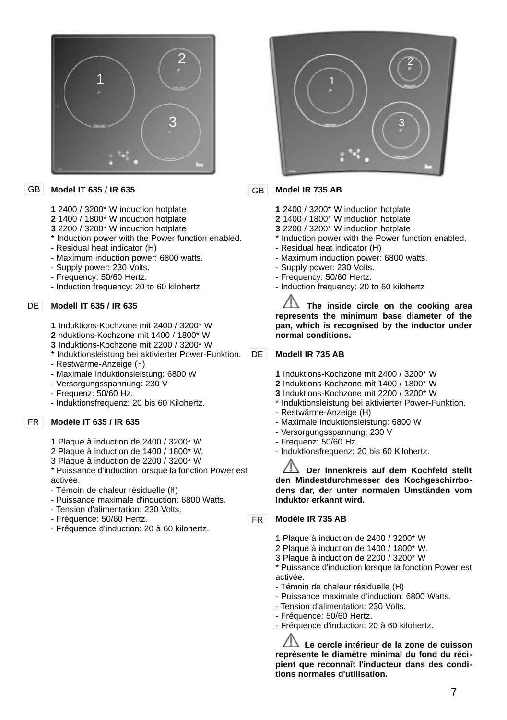

#### **Model IT 635 / IR 635** GB

- **1** 2400 / 3200\* W induction hotplate
- **2** 1400 / 1800\* W induction hotplate
- **3** 2200 / 3200\* W induction hotplate
- \* Induction power with the Power function enabled.
- Residual heat indicator (H)
- Maximum induction power: 6800 watts.
- Supply power: 230 Volts.
- Frequency: 50/60 Hertz.
- Induction frequency: 20 to 60 kilohertz

#### **Modell IT 635 / IR 635** DE

**1** Induktions-Kochzone mit 2400 / 3200\* W

- **2** nduktions-Kochzone mit 1400 / 1800\* W
- **3** Induktions-Kochzone mit 2200 / 3200\* W
- \* Induktionsleistung bei aktivierter Power-Funktion. DE
- Restwärme-Anzeige (H)
- Maximale Induktionsleistung: 6800 W
- Versorgungsspannung: 230 V
- Frequenz: 50/60 Hz.
- Induktionsfrequenz: 20 bis 60 Kilohertz.

#### **Modèle IT 635 / IR 635** FR

- 1 Plaque à induction de 2400 / 3200\* W
- 2 Plaque à induction de 1400 / 1800\* W.
- 3 Plaque à induction de 2200 / 3200\* W

\* Puissance d'induction lorsque la fonction Power est activée.

- Témoin de chaleur résiduelle (H)
- Puissance maximale d'induction: 6800 Watts.
- Tension d'alimentation: 230 Volts.
- Fréquence: 50/60 Hertz.
- Fréquence d'induction: 20 à 60 kilohertz.



#### **Model IR 735 AB** GB

- **1** 2400 / 3200\* W induction hotplate
- **2** 1400 / 1800\* W induction hotplate
- **3** 2200 / 3200\* W induction hotplate
- \* Induction power with the Power function enabled.
- Residual heat indicator (H)
- Maximum induction power: 6800 watts.
- Supply power: 230 Volts.
- Frequency: 50/60 Hertz.
- Induction frequency: 20 to 60 kilohertz

**The inside circle on the cooking area represents the minimum base diameter of the pan, which is recognised by the inductor under normal conditions.**

#### **Modell IR 735 AB**

- **1** Induktions-Kochzone mit 2400 / 3200\* W
- **2** Induktions-Kochzone mit 1400 / 1800\* W
- **3** Induktions-Kochzone mit 2200 / 3200\* W
- \* Induktionsleistung bei aktivierter Power-Funktion.
- Restwärme-Anzeige (H)
- Maximale Induktionsleistung: 6800 W
- Versorgungsspannung: 230 V
- Frequenz: 50/60 Hz.
- Induktionsfrequenz: 20 bis 60 Kilohertz.

**Der Innenkreis auf dem Kochfeld stellt den Mindestdurchmesser des Kochgeschirrbodens dar, der unter normalen Umständen vom Induktor erkannt wird.**

#### **Modèle IR 735 AB** FR

- 1 Plaque à induction de 2400 / 3200\* W
- 2 Plaque à induction de 1400 / 1800\* W.
- 3 Plaque à induction de 2200 / 3200\* W

\* Puissance d'induction lorsque la fonction Power est activée.

- Témoin de chaleur résiduelle (H)
- Puissance maximale d'induction: 6800 Watts.
- Tension d'alimentation: 230 Volts.
- Fréquence: 50/60 Hertz.
- Fréquence d'induction: 20 à 60 kilohertz.

**Le cercle intérieur de la zone de cuisson représente le diamètre minimal du fond du récipient que reconnaît l'inducteur dans des conditions normales d'utilisation.**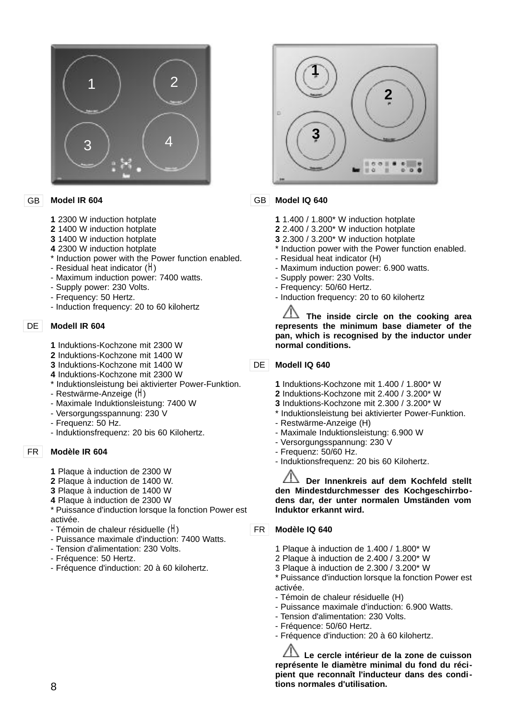

#### **Model IR 604** GB

- **1** 2300 W induction hotplate
- **2** 1400 W induction hotplate
- **3** 1400 W induction hotplate
- **4** 2300 W induction hotplate
- \* Induction power with the Power function enabled.
- Residual heat indicator ( $H$ )
- Maximum induction power: 7400 watts.
- Supply power: 230 Volts.
- Frequency: 50 Hertz.
- Induction frequency: 20 to 60 kilohertz

#### **Modell IR 604**  $DF$

- **1** Induktions-Kochzone mit 2300 W
- **2** Induktions-Kochzone mit 1400 W
- **3** Induktions-Kochzone mit 1400 W
- **4** Induktions-Kochzone mit 2300 W
- \* Induktionsleistung bei aktivierter Power-Funktion.
- Restwärme-Anzeige (H)
- Maximale Induktionsleistung: 7400 W
- Versorgungsspannung: 230 V
- Frequenz: 50 Hz.
- Induktionsfrequenz: 20 bis 60 Kilohertz.

#### **Modèle IR 604** FR

- **1** Plaque à induction de 2300 W
- **2** Plaque à induction de 1400 W.
- **3** Plaque à induction de 1400 W
- **4** Plaque à induction de 2300 W
- \* Puissance d'induction lorsque la fonction Power est activée.
- Témoin de chaleur résiduelle  $(H)$
- Puissance maximale d'induction: 7400 Watts.
- Tension d'alimentation: 230 Volts.
- Fréquence: 50 Hertz.
- Fréquence d'induction: 20 à 60 kilohertz.



#### **Model IQ 640** GB.

- **1** 1.400 / 1.800\* W induction hotplate
- **2** 2.400 / 3.200\* W induction hotplate
- **3** 2.300 / 3.200<sup>\*</sup> W induction hotplate
- \* Induction power with the Power function enabled.
- Residual heat indicator (H)
- Maximum induction power: 6.900 watts.
- Supply power: 230 Volts.
- Frequency: 50/60 Hertz.
- Induction frequency: 20 to 60 kilohertz

**The inside circle on the cooking area represents the minimum base diameter of the pan, which is recognised by the inductor under normal conditions.**

#### **Modell IQ 640** DE

- **1** Induktions-Kochzone mit 1.400 / 1.800\* W
- **2** Induktions-Kochzone mit 2.400 / 3.200\* W
- **3** Induktions-Kochzone mit 2.300 / 3.200\* W
- \* Induktionsleistung bei aktivierter Power-Funktion.
- Restwärme-Anzeige (H)
- Maximale Induktionsleistung: 6.900 W
- Versorgungsspannung: 230 V
- Frequenz: 50/60 Hz.
- Induktionsfrequenz: 20 bis 60 Kilohertz.

**Der Innenkreis auf dem Kochfeld stellt den Mindestdurchmesser des Kochgeschirrbodens dar, der unter normalen Umständen vom Induktor erkannt wird.**

#### **Modèle IQ 640** FR

- 1 Plaque à induction de 1.400 / 1.800\* W
- 2 Plaque à induction de 2.400 / 3.200\* W
- 3 Plaque à induction de 2.300 / 3.200\* W

\* Puissance d'induction lorsque la fonction Power est activée.

- Témoin de chaleur résiduelle (H)
- Puissance maximale d'induction: 6.900 Watts.
- Tension d'alimentation: 230 Volts.
- Fréquence: 50/60 Hertz.
- Fréquence d'induction: 20 à 60 kilohertz.

**Le cercle intérieur de la zone de cuisson représente le diamètre minimal du fond du récipient que reconnaît l'inducteur dans des conditions normales d'utilisation.**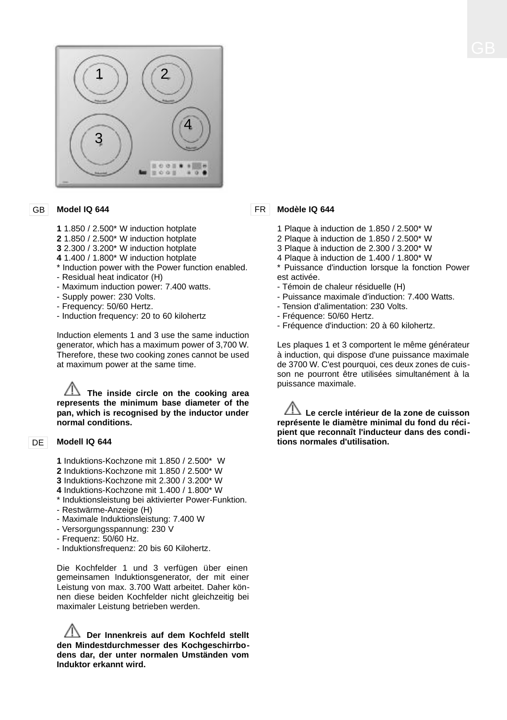

#### GB **Model IQ 644**

- **1** 1.850 / 2.500\* W induction hotplate
- **2** 1.850 / 2.500\* W induction hotplate
- **3** 2.300 / 3.200\* W induction hotplate
- **4** 1.400 / 1.800\* W induction hotplate
- \* Induction power with the Power function enabled.
- Residual heat indicator (H)
- Maximum induction power: 7.400 watts.
- Supply power: 230 Volts.
- Frequency: 50/60 Hertz.
- Induction frequency: 20 to 60 kilohertz

Induction elements 1 and 3 use the same induction generator, which has a maximum power of 3,700 W. Therefore, these two cooking zones cannot be used at maximum power at the same time.

**The inside circle on the cooking area represents the minimum base diameter of the pan, which is recognised by the inductor under normal conditions.**

#### DE | **Modell IQ 644**

- **1** Induktions-Kochzone mit 1.850 / 2.500\* W
- **2** Induktions-Kochzone mit 1.850 / 2.500\* W
- **3** Induktions-Kochzone mit 2.300 / 3.200\* W
- **4** Induktions-Kochzone mit 1.400 / 1.800\* W
- \* Induktionsleistung bei aktivierter Power-Funktion. - Restwärme-Anzeige (H)
- Maximale Induktionsleistung: 7.400 W
- Versorgungsspannung: 230 V
- Frequenz: 50/60 Hz.
- Induktionsfrequenz: 20 bis 60 Kilohertz.

Die Kochfelder 1 und 3 verfügen über einen gemeinsamen Induktionsgenerator, der mit einer Leistung von max. 3.700 Watt arbeitet. Daher können diese beiden Kochfelder nicht gleichzeitig bei maximaler Leistung betrieben werden.

**Der Innenkreis auf dem Kochfeld stellt den Mindestdurchmesser des Kochgeschirrbodens dar, der unter normalen Umständen vom Induktor erkannt wird.**

#### **Modèle IQ 644** FR

- 1 Plaque à induction de 1.850 / 2.500\* W
- 2 Plaque à induction de 1.850 / 2.500\* W
- 3 Plaque à induction de 2.300 / 3.200\* W
- 4 Plaque à induction de 1.400 / 1.800\* W
- \* Puissance d'induction lorsque la fonction Power est activée.
- Témoin de chaleur résiduelle (H)
- Puissance maximale d'induction: 7.400 Watts.
- Tension d'alimentation: 230 Volts.
- Fréquence: 50/60 Hertz.
- Fréquence d'induction: 20 à 60 kilohertz.

Les plaques 1 et 3 comportent le même générateur à induction, qui dispose d'une puissance maximale de 3700 W. C'est pourquoi, ces deux zones de cuisson ne pourront être utilisées simultanément à la puissance maximale.

**Le cercle intérieur de la zone de cuisson représente le diamètre minimal du fond du récipient que reconnaît l'inducteur dans des conditions normales d'utilisation.**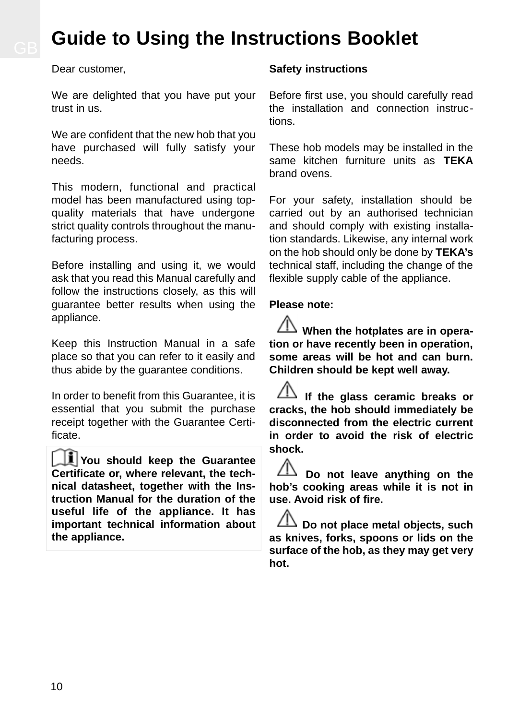# **Guide to Using the Instructions Booklet**

Dear customer,

We are delighted that you have put your trust in us.

We are confident that the new hob that you have purchased will fully satisfy your needs.

This modern, functional and practical model has been manufactured using topquality materials that have undergone strict quality controls throughout the manufacturing process.

Before installing and using it, we would ask that you read this Manual carefully and follow the instructions closely, as this will guarantee better results when using the appliance.

Keep this Instruction Manual in a safe place so that you can refer to it easily and thus abide by the guarantee conditions.

In order to benefit from this Guarantee, it is essential that you submit the purchase receipt together with the Guarantee Certificate.

**You should keep the Guarantee Certificate or, where relevant, the technical datasheet, together with the Instruction Manual for the duration of the useful life of the appliance. It has important technical information about the appliance.**

#### **Safety instructions**

Before first use, you should carefully read the installation and connection instructions.

These hob models may be installed in the same kitchen furniture units as **TEKA** brand ovens.

For your safety, installation should be carried out by an authorised technician and should comply with existing installation standards. Likewise, any internal work on the hob should only be done by **TEKA's** technical staff, including the change of the flexible supply cable of the appliance.

#### **Please note:**

**When the hotplates are in operation or have recently been in operation, some areas will be hot and can burn. Children should be kept well away.**

**If the glass ceramic breaks or cracks, the hob should immediately be disconnected from the electric current in order to avoid the risk of electric shock.**

**Do not leave anything on the hob's cooking areas while it is not in use. Avoid risk of fire.**

**Do not place metal objects, such as knives, forks, spoons or lids on the surface of the hob, as they may get very hot.**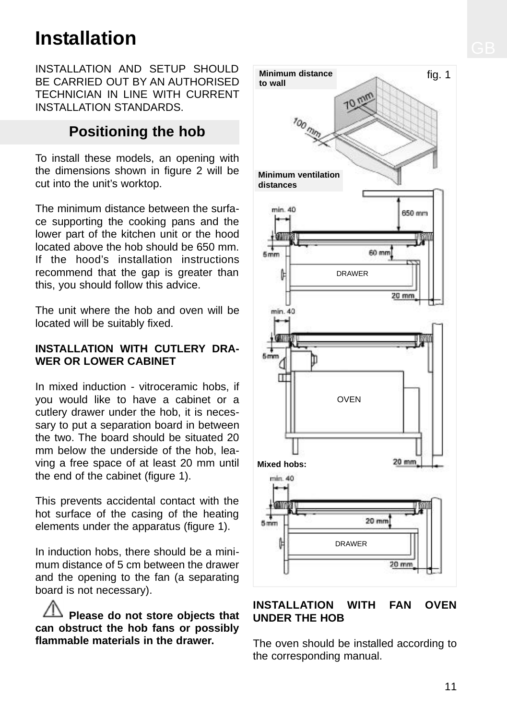# **Installation**

INSTALLATION AND SETUP SHOULD BE CARRIED OUT BY AN AUTHORISED TECHNICIAN IN LINE WITH CURRENT INSTALLATION STANDARDS.

# **Positioning the hob**

To install these models, an opening with the dimensions shown in figure 2 will be cut into the unit's worktop.

The minimum distance between the surface supporting the cooking pans and the lower part of the kitchen unit or the hood located above the hob should be 650 mm. If the hood's installation instructions recommend that the gap is greater than this, you should follow this advice.

The unit where the hob and oven will be located will be suitably fixed.

#### **INSTALLATION WITH CUTLERY DRA-WER OR LOWER CABINET**

In mixed induction - vitroceramic hobs, if you would like to have a cabinet or a cutlery drawer under the hob, it is necessary to put a separation board in between the two. The board should be situated 20 mm below the underside of the hob, leaving a free space of at least 20 mm until the end of the cabinet (figure 1).

This prevents accidental contact with the hot surface of the casing of the heating elements under the apparatus (figure 1).

In induction hobs, there should be a minimum distance of 5 cm between the drawer and the opening to the fan (a separating board is not necessary).

**Please do not store objects that can obstruct the hob fans or possibly flammable materials in the drawer.**



### **INSTALLATION WITH FAN OVEN UNDER THE HOB**

The oven should be installed according to the corresponding manual.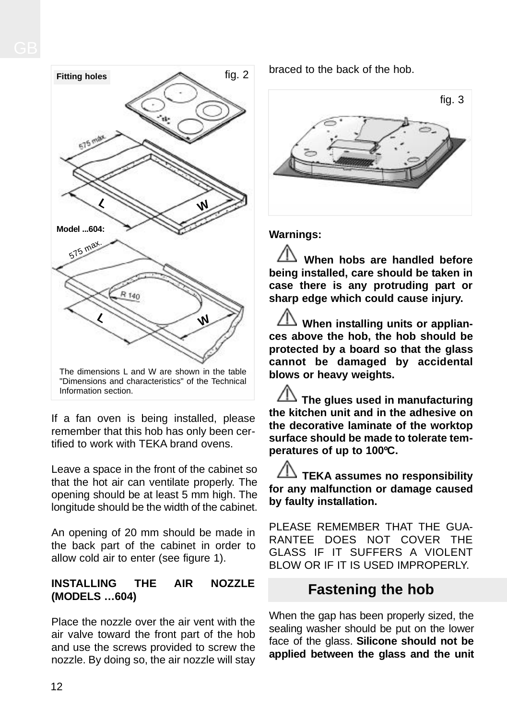

If a fan oven is being installed, please remember that this hob has only been certified to work with TEKA brand ovens.

Leave a space in the front of the cabinet so that the hot air can ventilate properly. The opening should be at least 5 mm high. The longitude should be the width of the cabinet.

An opening of 20 mm should be made in the back part of the cabinet in order to allow cold air to enter (see figure 1).

### **INSTALLING THE AIR NOZZLE (MODELS …604)**

Place the nozzle over the air vent with the air valve toward the front part of the hob and use the screws provided to screw the nozzle. By doing so, the air nozzle will stay braced to the back of the hob.



**Warnings:**

**When hobs are handled before being installed, care should be taken in case there is any protruding part or sharp edge which could cause injury.**

**When installing units or appliances above the hob, the hob should be protected by a board so that the glass cannot be damaged by accidental blows or heavy weights.**

**The glues used in manufacturing the kitchen unit and in the adhesive on the decorative laminate of the worktop surface should be made to tolerate temperatures of up to 100ºC.**

**TEKA assumes no responsibility for any malfunction or damage caused by faulty installation.**

PLEASE REMEMBER THAT THE GUA-RANTEE DOES NOT COVER THE GLASS IF IT SUFFERS A VIOLENT BLOW OR IF IT IS USED IMPROPERLY.

# **Fastening the hob**

When the gap has been properly sized, the sealing washer should be put on the lower face of the glass. **Silicone should not be applied between the glass and the unit**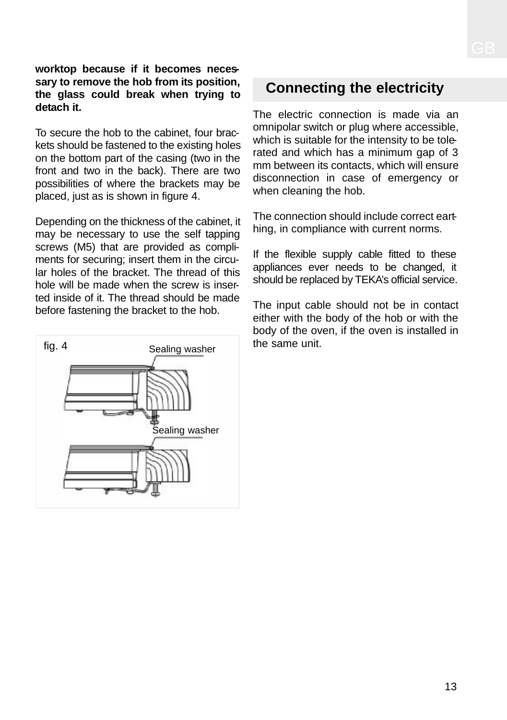#### **worktop because if it becomes necessary to remove the hob from its position, the glass could break when trying to detach it.**

To secure the hob to the cabinet, four brackets should be fastened to the existing holes on the bottom part of the casing (two in the front and two in the back). There are two possibilities of where the brackets may be placed, just as is shown in figure 4.

Depending on the thickness of the cabinet, it may be necessary to use the self tapping screws (M5) that are provided as compliments for securing; insert them in the circular holes of the bracket. The thread of this hole will be made when the screw is inserted inside of it. The thread should be made before fastening the bracket to the hob.



# **Connecting the electricity**

The electric connection is made via an omnipolar switch or plug where accessible, which is suitable for the intensity to be tolerated and which has a minimum gap of 3 mm between its contacts, which will ensure disconnection in case of emergency or when cleaning the hob.

The connection should include correct earthing, in compliance with current norms.

If the flexible supply cable fitted to these appliances ever needs to be changed, it should be replaced by TEKA's official service.

The input cable should not be in contact either with the body of the hob or with the body of the oven, if the oven is installed in the same unit.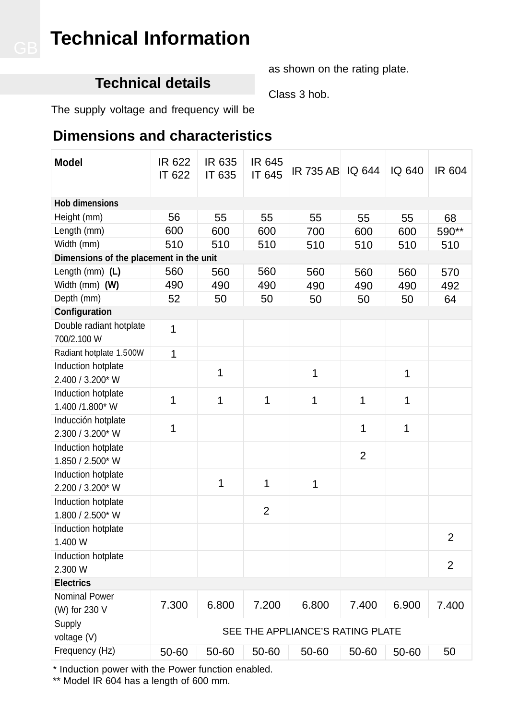# **Technical Information**

# **Technical details**

as shown on the rating plate.

Class 3 hob.

The supply voltage and frequency will be

# **Dimensions and characteristics**

| <b>Model</b>                            | IR 622<br>IT 622                 | IR 635<br>IT 635 | IR 645<br>IT 645 | IR 735 AB IQ 644 |                | IQ 640 | IR 604         |
|-----------------------------------------|----------------------------------|------------------|------------------|------------------|----------------|--------|----------------|
| <b>Hob dimensions</b>                   |                                  |                  |                  |                  |                |        |                |
| Height (mm)                             | 56                               | 55               | 55               | 55               | 55             | 55     | 68             |
| Length (mm)                             | 600                              | 600              | 600              | 700              | 600            | 600    | 590**          |
| Width (mm)                              | 510                              | 510              | 510              | 510              | 510            | 510    | 510            |
| Dimensions of the placement in the unit |                                  |                  |                  |                  |                |        |                |
| Length $(mm)$ (L)                       | 560                              | 560              | 560              | 560              | 560            | 560    | 570            |
| Width (mm) (W)                          | 490                              | 490              | 490              | 490              | 490            | 490    | 492            |
| Depth (mm)                              | 52                               | 50               | 50               | 50               | 50             | 50     | 64             |
| Configuration                           |                                  |                  |                  |                  |                |        |                |
| Double radiant hotplate<br>700/2.100 W  | 1                                |                  |                  |                  |                |        |                |
| Radiant hotplate 1.500W                 | 1                                |                  |                  |                  |                |        |                |
| Induction hotplate<br>2.400 / 3.200* W  |                                  | 1                |                  | 1                |                | 1      |                |
| Induction hotplate<br>1.400 /1.800* W   | 1                                | 1                | 1                | $\mathbf{1}$     | 1              | 1      |                |
| Inducción hotplate<br>2.300 / 3.200* W  | 1                                |                  |                  |                  | 1              | 1      |                |
| Induction hotplate<br>1.850 / 2.500* W  |                                  |                  |                  |                  | $\overline{2}$ |        |                |
| Induction hotplate<br>2.200 / 3.200* W  |                                  | 1                | 1                | 1                |                |        |                |
| Induction hotplate<br>1.800 / 2.500* W  |                                  |                  | 2                |                  |                |        |                |
| Induction hotplate<br>1.400 W           |                                  |                  |                  |                  |                |        | 2              |
| Induction hotplate<br>2.300 W           |                                  |                  |                  |                  |                |        | $\overline{2}$ |
| <b>Electrics</b>                        |                                  |                  |                  |                  |                |        |                |
| <b>Nominal Power</b><br>(W) for 230 V   | 7.300                            | 6.800            | 7.200            | 6.800            | 7.400          | 6.900  | 7.400          |
| Supply<br>voltage (V)                   | SEE THE APPLIANCE'S RATING PLATE |                  |                  |                  |                |        |                |
| Frequency (Hz)                          | 50-60                            | 50-60            | 50-60            | 50-60            | 50-60          | 50-60  | 50             |

\* Induction power with the Power function enabled.

\*\* Model IR 604 has a length of 600 mm.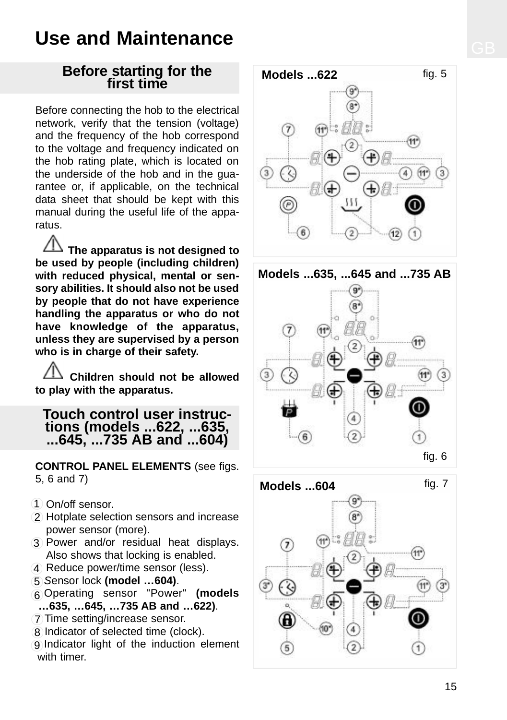# **Use and Maintenance**

### **Before starting for the first time**

Before connecting the hob to the electrical network, verify that the tension (voltage) and the frequency of the hob correspond to the voltage and frequency indicated on the hob rating plate, which is located on the underside of the hob and in the guarantee or, if applicable, on the technical data sheet that should be kept with this manual during the useful life of the apparatus.

**The apparatus is not designed to be used by people (including children) with reduced physical, mental or sensory abilities. It should also not be used by people that do not have experience handling the apparatus or who do not have knowledge of the apparatus, unless they are supervised by a person who is in charge of their safety.**

**Children should not be allowed to play with the apparatus.**

### **Touch control user instructions (models ...622, ...635, ...645, ...735 AB and ...604)**

**CONTROL PANEL ELEMENTS** (see figs. 5, 6 and 7)

- On/off sensor. 1
- 2) Hotplate selection sensors and increase power sensor (more).
- Power and/or residual heat displays. 3 Also shows that locking is enabled.
- 4 Reduce power/time sensor (less).
- *S*ensor lock **(model …604)**. 5
- Operating sensor "Power" **(models** 6 **…635, …645, …735 AB and …622)**.
- Time setting/increase sensor. 7
- 8 Indicator of selected time (clock).
- 9 Indicator light of the induction element with timer.





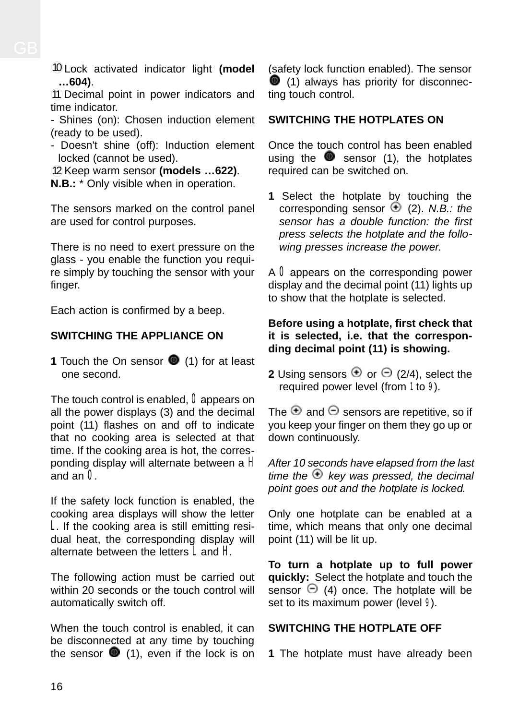Lock activated indicator light **(model** 10**…604)**.

11 Decimal point in power indicators and time indicator.

- Shines (on): Chosen induction element (ready to be used).

- Doesn't shine (off): Induction element locked (cannot be used).

12 Keep warm sensor (models ...622). **N.B.:** \* Only visible when in operation.

The sensors marked on the control panel are used for control purposes.

There is no need to exert pressure on the glass - you enable the function you require simply by touching the sensor with your finger.

Each action is confirmed by a beep.

### **SWITCHING THE APPLIANCE ON**

**1** Touch the On sensor **1** (1) for at least one second.

The touch control is enabled,  $\boldsymbol{0}$  appears on all the power displays (3) and the decimal point (11) flashes on and off to indicate that no cooking area is selected at that time. If the cooking area is hot, the corresponding display will alternate between a H and an  $\overline{0}$ .

If the safety lock function is enabled, the cooking area displays will show the letter L. If the cooking area is still emitting residual heat, the corresponding display will alternate between the letters L and H.

The following action must be carried out within 20 seconds or the touch control will automatically switch off.

When the touch control is enabled, it can be disconnected at any time by touching the sensor  $\bullet$  (1), even if the lock is on

(safety lock function enabled). The sensor  $(1)$  always has priority for disconnecting touch control.

#### **SWITCHING THE HOTPLATES ON**

Once the touch control has been enabled using the  $\bullet$  sensor (1), the hotplates required can be switched on.

**1** Select the hotplate by touching the corresponding sensor (2). *N.B.: the sensor has a double function: the first press selects the hotplate and the following presses increase the power.*

A  $\bf{0}$  appears on the corresponding power display and the decimal point (11) lights up to show that the hotplate is selected.

#### **Before using a hotplate, first check that it is selected, i.e. that the corresponding decimal point (11) is showing.**

**2** Using sensors  $\oplus$  or  $\ominus$  (2/4), select the required power level (from 1 to 9).

The  $\Theta$  and  $\Theta$  sensors are repetitive, so if you keep your finger on them they go up or down continuously.

*After 10 seconds have elapsed from the last*  $time$  *the*  $\oplus$  *key was pressed, the decimal point goes out and the hotplate is locked.*

Only one hotplate can be enabled at a time, which means that only one decimal point (11) will be lit up.

**To turn a hotplate up to full power quickly:** Select the hotplate and touch the  $sensor \Theta$  (4) once. The hotplate will be set to its maximum power (level 9).

### **SWITCHING THE HOTPLATE OFF**

**1** The hotplate must have already been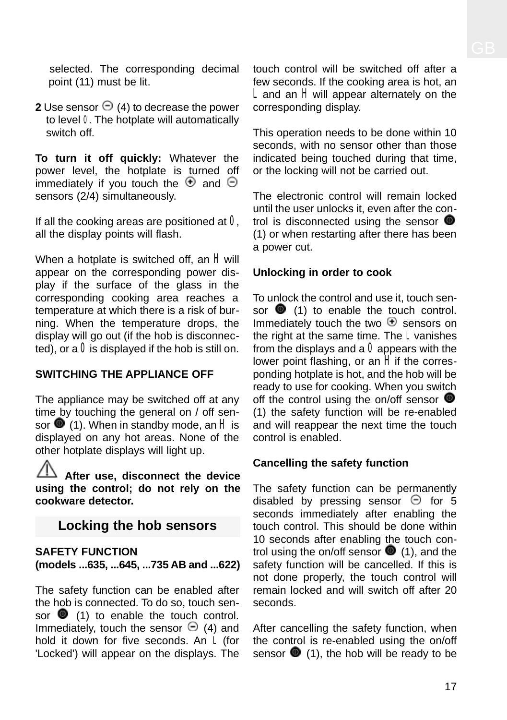selected. The corresponding decimal point (11) must be lit.

**2** Use sensor  $\Theta$  (4) to decrease the power to level 0. The hotplate will automatically switch off.

**To turn it off quickly:** Whatever the power level, the hotplate is turned off immediately if you touch the  $\Theta$  and  $\Theta$ sensors (2/4) simultaneously.

If all the cooking areas are positioned at  $0$ , all the display points will flash.

When a hotplate is switched off, an  $H$  will appear on the corresponding power display if the surface of the glass in the corresponding cooking area reaches a temperature at which there is a risk of burning. When the temperature drops, the display will go out (if the hob is disconnected), or a  $\bf{0}$  is displayed if the hob is still on.

#### **SWITCHING THE APPLIANCE OFF**

The appliance may be switched off at any time by touching the general on / off sensor  $\bullet$  (1). When in standby mode, an H is displayed on any hot areas. None of the other hotplate displays will light up.

**After use, disconnect the device using the control; do not rely on the cookware detector.**

### **Locking the hob sensors**

#### **SAFETY FUNCTION (models ...635, ...645, ...735 AB and ...622)**

The safety function can be enabled after the hob is connected. To do so, touch sensor  $\bullet$  (1) to enable the touch control. Immediately, touch the sensor  $\Theta$  (4) and hold it down for five seconds. An L (for 'Locked') will appear on the displays. The touch control will be switched off after a few seconds. If the cooking area is hot, an L and an H will appear alternately on the corresponding display.

This operation needs to be done within 10 seconds, with no sensor other than those indicated being touched during that time, or the locking will not be carried out.

The electronic control will remain locked until the user unlocks it, even after the control is disconnected using the sensor  $\bullet$ (1) or when restarting after there has been a power cut.

#### **Unlocking in order to cook**

To unlock the control and use it, touch sensor  $\bullet$  (1) to enable the touch control. Immediately touch the two  $\bigoplus$  sensors on the right at the same time. The L vanishes from the displays and a  $0$  appears with the lower point flashing, or an  $H$  if the corresponding hotplate is hot, and the hob will be ready to use for cooking. When you switch off the control using the on/off sensor  $\bullet$ (1) the safety function will be re-enabled and will reappear the next time the touch control is enabled.

#### **Cancelling the safety function**

The safety function can be permanently disabled by pressing sensor  $\Theta$  for 5 seconds immediately after enabling the touch control. This should be done within 10 seconds after enabling the touch control using the on/off sensor  $\bullet$  (1), and the safety function will be cancelled. If this is not done properly, the touch control will remain locked and will switch off after 20 seconds.

After cancelling the safety function, when the control is re-enabled using the on/off sensor  $\bullet$  (1), the hob will be ready to be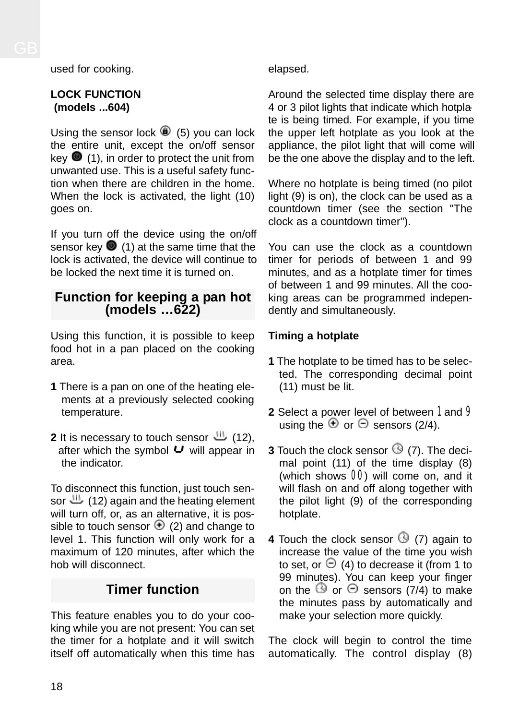used for cooking.

#### **LOCK FUNCTION (models ...604)**

Using the sensor lock  $\bigcirc$  (5) you can lock the entire unit, except the on/off sensor key  $\bullet$  (1), in order to protect the unit from unwanted use. This is a useful safety function when there are children in the home. When the lock is activated, the light (10) goes on.

If you turn off the device using the on/off sensor key  $\bullet$  (1) at the same time that the lock is activated, the device will continue to be locked the next time it is turned on.

### **Function for keeping a pan hot (models …622)**

Using this function, it is possible to keep food hot in a pan placed on the cooking area.

- **1** There is a pan on one of the heating elements at a previously selected cooking temperature.
- **2** It is necessary to touch sensor  $\mathbf{H}$  (12), after which the symbol  $\bigcup$  will appear in the indicator.

To disconnect this function, just touch sensor  $\frac{111}{2}$  (12) again and the heating element will turn off, or, as an alternative, it is possible to touch sensor  $\Theta$  (2) and change to level 1. This function will only work for a maximum of 120 minutes, after which the hob will disconnect.

## **Timer function**

This feature enables you to do your cooking while you are not present: You can set the timer for a hotplate and it will switch itself off automatically when this time has elapsed.

Around the selected time display there are 4 or 3 pilot lights that indicate which hotplate is being timed. For example, if you time the upper left hotplate as you look at the appliance, the pilot light that will come will be the one above the display and to the left.

Where no hotplate is being timed (no pilot light (9) is on), the clock can be used as a countdown timer (see the section "The clock as a countdown timer").

You can use the clock as a countdown timer for periods of between 1 and 99 minutes, and as a hotplate timer for times of between 1 and 99 minutes. All the cooking areas can be programmed independently and simultaneously.

### **Timing a hotplate**

- **1** The hotplate to be timed has to be selected. The corresponding decimal point (11) must be lit.
- **2** Select a power level of between 1 and 9 using the  $\oplus$  or  $\ominus$  sensors (2/4).
- **3** Touch the clock sensor  $\mathbb{G}$  (7). The decimal point (11) of the time display (8) (which shows 00) will come on, and it will flash on and off along together with the pilot light (9) of the corresponding hotplate.
- **4** Touch the clock sensor  $\mathbb{G}$  (7) again to increase the value of the time you wish to set, or  $\Theta$  (4) to decrease it (from 1 to 99 minutes). You can keep your finger on the  $\circled{0}$  or  $\circledcirc$  sensors (7/4) to make the minutes pass by automatically and make your selection more quickly.

The clock will begin to control the time automatically. The control display (8)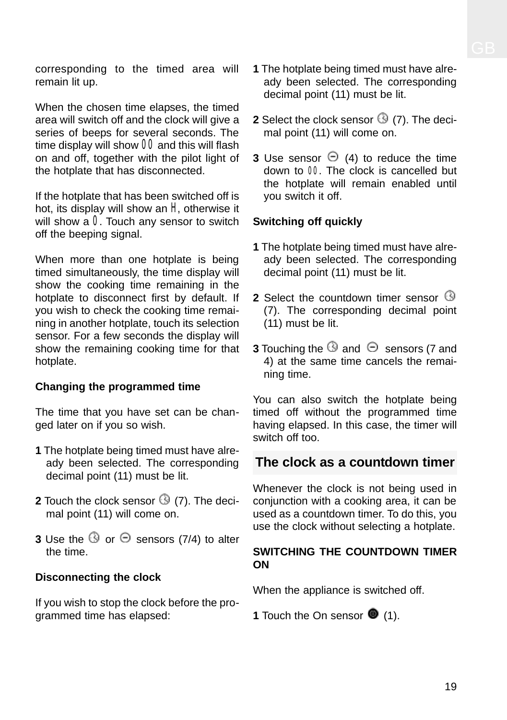corresponding to the timed area will remain lit up.

When the chosen time elapses, the timed area will switch off and the clock will give a series of beeps for several seconds. The time display will show  $00$  and this will flash on and off, together with the pilot light of the hotplate that has disconnected.

If the hotplate that has been switched off is hot, its display will show an  $H$  otherwise it will show a  $0$ . Touch any sensor to switch off the beeping signal.

When more than one hotplate is being timed simultaneously, the time display will show the cooking time remaining in the hotplate to disconnect first by default. If you wish to check the cooking time remaining in another hotplate, touch its selection sensor. For a few seconds the display will show the remaining cooking time for that hotplate.

#### **Changing the programmed time**

The time that you have set can be changed later on if you so wish.

- **1** The hotplate being timed must have already been selected. The corresponding decimal point (11) must be lit.
- **2** Touch the clock sensor  $\mathbb{G}$  (7). The decimal point (11) will come on.
- **3** Use the  $\bigcirc$  or  $\bigcirc$  sensors (7/4) to alter the time.

#### **Disconnecting the clock**

If you wish to stop the clock before the programmed time has elapsed:

- **1** The hotplate being timed must have already been selected. The corresponding decimal point (11) must be lit.
- **2** Select the clock sensor  $\bigcirc$  (7). The decimal point (11) will come on.
- **3** Use sensor  $\Theta$  (4) to reduce the time down to 00. The clock is cancelled but the hotplate will remain enabled until you switch it off.

#### **Switching off quickly**

- **1** The hotplate being timed must have already been selected. The corresponding decimal point (11) must be lit.
- **2** Select the countdown timer sensor  $\Theta$ (7). The corresponding decimal point (11) must be lit.
- **3** Touching the  $\Theta$  and  $\Theta$  sensors (7 and 4) at the same time cancels the remaining time.

You can also switch the hotplate being timed off without the programmed time having elapsed. In this case, the timer will switch off too.

### **The clock as a countdown timer**

Whenever the clock is not being used in conjunction with a cooking area, it can be used as a countdown timer. To do this, you use the clock without selecting a hotplate.

#### **SWITCHING THE COUNTDOWN TIMER ON**

When the appliance is switched off.

**1** Touch the On sensor  $\bullet$  (1).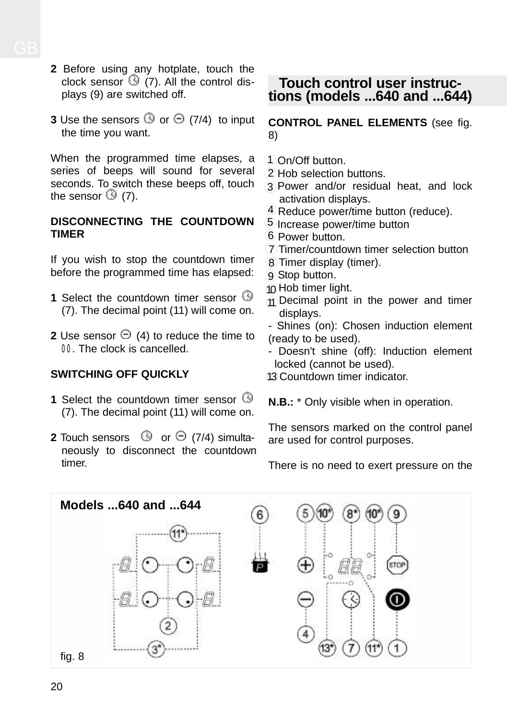- **2** Before using any hotplate, touch the clock sensor  $\bigcirc$  (7). All the control displays (9) are switched off.
- **3** Use the sensors  $\bigcirc$  or  $\bigcirc$  (7/4) to input the time you want.

When the programmed time elapses, a series of beeps will sound for several seconds. To switch these beeps off, touch the sensor  $\mathbb{G}(7)$ .

#### **DISCONNECTING THE COUNTDOWN TIMER**

If you wish to stop the countdown timer before the programmed time has elapsed:

- **1** Select the countdown timer sensor  $\Theta$ (7). The decimal point (11) will come on.
- **2** Use sensor  $\Theta$  (4) to reduce the time to 00. The clock is cancelled.

### **SWITCHING OFF QUICKLY**

- **1** Select the countdown timer sensor  $\circledcirc$ (7). The decimal point (11) will come on.
- **2** Touch sensors  $\Theta$  or  $\Theta$  (7/4) simultaneously to disconnect the countdown timer.

### **Touch control user instructions (models ...640 and ...644)**

**CONTROL PANEL ELEMENTS** (see fig. 8)

- On/Off button. 1
- Hob selection buttons. 2
- Power and/or residual heat, and lock 3 activation displays.
- 4 Reduce power/time button (reduce).
- 5 Increase power/time button
- Power button. 6
- Timer/countdown timer selection button 7
- Timer display (timer). 8
- Stop button. 9
- 10 Hob timer light.
- $\eta$  Decimal point in the power and timer displays.
- Shines (on): Chosen induction element (ready to be used).
- Doesn't shine (off): Induction element locked (cannot be used).

13 Countdown timer indicator.

**N.B.:** \* Only visible when in operation.

The sensors marked on the control panel are used for control purposes.

There is no need to exert pressure on the

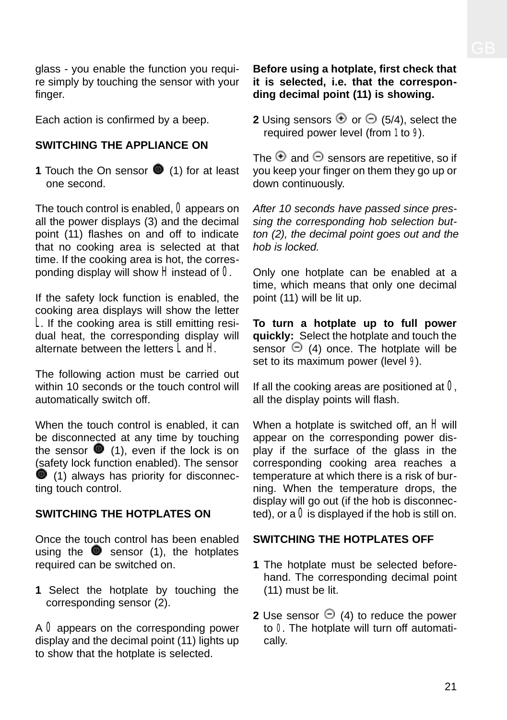glass - you enable the function you require simply by touching the sensor with your finger.

Each action is confirmed by a beep.

#### **SWITCHING THE APPLIANCE ON**

**1** Touch the On sensor **1** (1) for at least one second.

The touch control is enabled,  $\boldsymbol{0}$  appears on all the power displays (3) and the decimal point (11) flashes on and off to indicate that no cooking area is selected at that time. If the cooking area is hot, the corresponding display will show  $H$  instead of  $0$ .

If the safety lock function is enabled, the cooking area displays will show the letter L. If the cooking area is still emitting residual heat, the corresponding display will alternate between the letters  $\check{\mathbf{I}}$  and  $\check{\mathbf{H}}$ 

The following action must be carried out within 10 seconds or the touch control will automatically switch off.

When the touch control is enabled, it can be disconnected at any time by touching the sensor  $\bullet$  (1), even if the lock is on (safety lock function enabled). The sensor (1) always has priority for disconnecting touch control.

#### **SWITCHING THE HOTPLATES ON**

Once the touch control has been enabled using the  $\bullet$  sensor (1), the hotplates required can be switched on.

**1** Select the hotplate by touching the corresponding sensor (2).

A  $\bf{0}$  appears on the corresponding power display and the decimal point (11) lights up to show that the hotplate is selected.

#### **Before using a hotplate, first check that it is selected, i.e. that the corresponding decimal point (11) is showing.**

**2** Using sensors  $\oplus$  or  $\ominus$  (5/4), select the required power level (from 1 to 9).

The  $\Theta$  and  $\Theta$  sensors are repetitive, so if you keep your finger on them they go up or down continuously.

*After 10 seconds have passed since pressing the corresponding hob selection button (2), the decimal point goes out and the hob is locked.*

Only one hotplate can be enabled at a time, which means that only one decimal point (11) will be lit up.

**To turn a hotplate up to full power quickly:** Select the hotplate and touch the sensor  $\Theta$  (4) once. The hotplate will be set to its maximum power (level 9).

If all the cooking areas are positioned at  $0$ , all the display points will flash.

When a hotplate is switched off, an  $H$  will appear on the corresponding power display if the surface of the glass in the corresponding cooking area reaches a temperature at which there is a risk of burning. When the temperature drops, the display will go out (if the hob is disconnected), or a  $\theta$  is displayed if the hob is still on.

### **SWITCHING THE HOTPLATES OFF**

- **1** The hotplate must be selected beforehand. The corresponding decimal point (11) must be lit.
- **2** Use sensor  $\Theta$  (4) to reduce the power to 0. The hotplate will turn off automatically.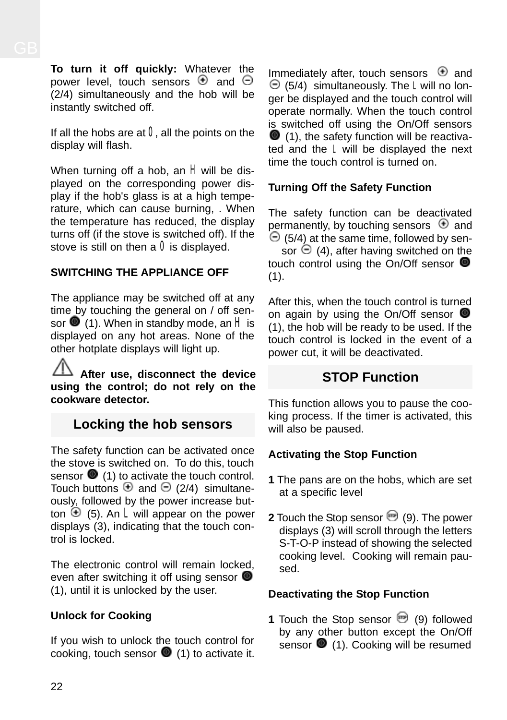**To turn it off quickly:** Whatever the power level, touch sensors  $\Theta$  and  $\Theta$ (2/4) simultaneously and the hob will be instantly switched off.

If all the hobs are at  $0$ , all the points on the display will flash.

When turning off a hob, an  $H$  will be displayed on the corresponding power display if the hob's glass is at a high temperature, which can cause burning, . When the temperature has reduced, the display turns off (if the stove is switched off). If the stove is still on then a  $0$  is displayed.

### **SWITCHING THE APPLIANCE OFF**

The appliance may be switched off at any time by touching the general on / off sensor  $\bullet$  (1). When in standby mode, an  $H$  is displayed on any hot areas. None of the other hotplate displays will light up.

**After use, disconnect the device using the control; do not rely on the cookware detector.**

## **Locking the hob sensors**

The safety function can be activated once the stove is switched on. To do this, touch sensor  $\bullet$  (1) to activate the touch control. Touch buttons  $\oplus$  and  $\ominus$  (2/4) simultaneously, followed by the power increase button  $\Theta$  (5). An **L** will appear on the power displays (3), indicating that the touch control is locked.

The electronic control will remain locked, even after switching it off using sensor  $\bullet$ (1), until it is unlocked by the user.

### **Unlock for Cooking**

If you wish to unlock the touch control for cooking, touch sensor  $\bullet$  (1) to activate it.

Immediately after, touch sensors  $\Theta$  and  $\Theta$  (5/4) simultaneously. The L will no longer be displayed and the touch control will operate normally. When the touch control is switched off using the On/Off sensors  $(1)$ , the safety function will be reactivated and the L will be displayed the next time the touch control is turned on.

### **Turning Off the Safety Function**

The safety function can be deactivated permanently, by touching sensors  $\Theta$  and  $\Theta$  (5/4) at the same time, followed by sen-

sor  $\Theta$  (4), after having switched on the touch control using the On/Off sensor  $(1)$ .

After this, when the touch control is turned on again by using the On/Off sensor (1), the hob will be ready to be used. If the touch control is locked in the event of a power cut, it will be deactivated.

## **STOP Function**

This function allows you to pause the cooking process. If the timer is activated, this will also be paused.

### **Activating the Stop Function**

- **1** The pans are on the hobs, which are set at a specific level
- **2** Touch the Stop sensor **(9)**. The power displays (3) will scroll through the letters S-T-O-P instead of showing the selected cooking level. Cooking will remain paused.

#### **Deactivating the Stop Function**

**1** Touch the Stop sensor **(9)** followed by any other button except the On/Off sensor  $\bullet$  (1). Cooking will be resumed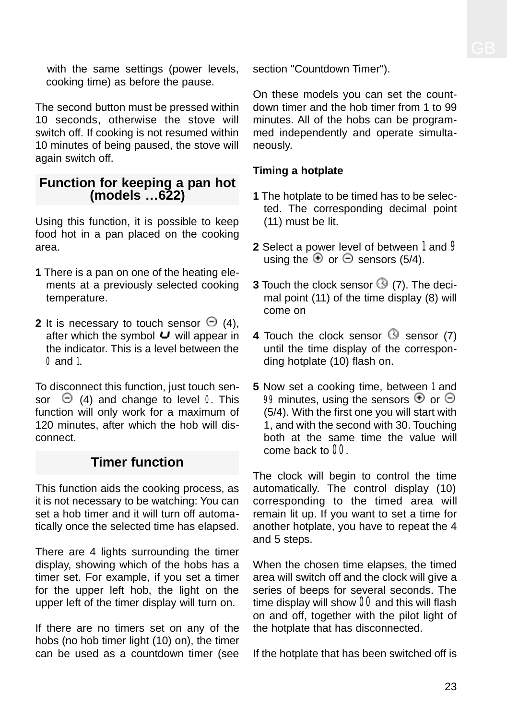with the same settings (power levels, cooking time) as before the pause.

The second button must be pressed within 10 seconds, otherwise the stove will switch off. If cooking is not resumed within 10 minutes of being paused, the stove will again switch off.

### **Function for keeping a pan hot (models …622)**

Using this function, it is possible to keep food hot in a pan placed on the cooking area.

- **1** There is a pan on one of the heating elements at a previously selected cooking temperature.
- **2** It is necessary to touch sensor  $\Theta$  (4), after which the symbol  $\cup$  will appear in the indicator. This is a level between the 0 and 1.

To disconnect this function, just touch sensor  $\Theta$  (4) and change to level 0. This function will only work for a maximum of 120 minutes, after which the hob will disconnect.

# **Timer function**

This function aids the cooking process, as it is not necessary to be watching: You can set a hob timer and it will turn off automatically once the selected time has elapsed.

There are 4 lights surrounding the timer display, showing which of the hobs has a timer set. For example, if you set a timer for the upper left hob, the light on the upper left of the timer display will turn on.

If there are no timers set on any of the hobs (no hob timer light (10) on), the timer can be used as a countdown timer (see section "Countdown Timer").

On these models you can set the countdown timer and the hob timer from 1 to 99 minutes. All of the hobs can be programmed independently and operate simultaneously.

### **Timing a hotplate**

- **1** The hotplate to be timed has to be selected. The corresponding decimal point (11) must be lit.
- **2** Select a power level of between 1 and 9 using the  $\oplus$  or  $\ominus$  sensors (5/4).
- **3** Touch the clock sensor  $\textcircled{9}$  (7). The decimal point (11) of the time display (8) will come on
- **4** Touch the clock sensor  $\Theta$  sensor (7) until the time display of the corresponding hotplate (10) flash on.
- **5** Now set a cooking time, between 1 and 99 minutes, using the sensors  $\Theta$  or  $\Theta$ (5/4). With the first one you will start with 1, and with the second with 30. Touching both at the same time the value will come back to 00.

The clock will begin to control the time automatically. The control display (10) corresponding to the timed area will remain lit up. If you want to set a time for another hotplate, you have to repeat the 4 and 5 steps.

When the chosen time elapses, the timed area will switch off and the clock will give a series of beeps for several seconds. The time display will show  $00$  and this will flash on and off, together with the pilot light of the hotplate that has disconnected.

If the hotplate that has been switched off is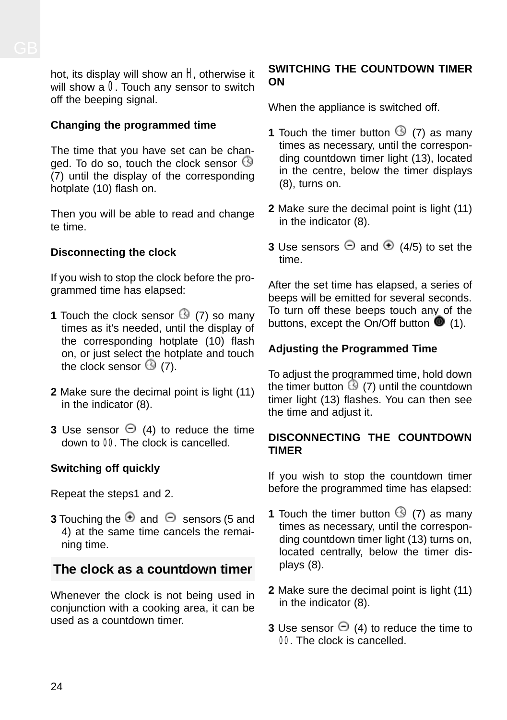hot, its display will show an  $H$ , otherwise it will show a  $0$ . Touch any sensor to switch off the beeping signal.

#### **Changing the programmed time**

The time that you have set can be changed. To do so, touch the clock sensor  $\circledS$ (7) until the display of the corresponding hotplate (10) flash on.

Then you will be able to read and change  $tan$ e time

#### **Disconnecting the clock**

If you wish to stop the clock before the programmed time has elapsed:

- **1** Touch the clock sensor  $\bigcirc$  (7) so many times as it's needed, until the display of the corresponding hotplate (10) flash on, or just select the hotplate and touch the clock sensor  $\mathbb{G}$  (7).
- **2** Make sure the decimal point is light (11) in the indicator (8).
- **3** Use sensor  $\Theta$  (4) to reduce the time down to 00. The clock is cancelled.

#### **Switching off quickly**

Repeat the steps1 and 2.

**3** Touching the  $\oplus$  and  $\ominus$  sensors (5 and 4) at the same time cancels the remaining time.

## **The clock as a countdown timer**

Whenever the clock is not being used in conjunction with a cooking area, it can be used as a countdown timer.

#### **SWITCHING THE COUNTDOWN TIMER ON**

When the appliance is switched off.

- **1** Touch the timer button  $\circled{9}$  (7) as many times as necessary, until the corresponding countdown timer light (13), located in the centre, below the timer displays (8), turns on.
- **2** Make sure the decimal point is light (11) in the indicator (8).
- **3** Use sensors  $\Theta$  and  $\Phi$  (4/5) to set the time.

After the set time has elapsed, a series of beeps will be emitted for several seconds. To turn off these beeps touch any of the buttons, except the On/Off button  $\blacksquare$  (1).

### **Adjusting the Programmed Time**

To adjust the programmed time, hold down the timer button  $\bigcirc$  (7) until the countdown timer light (13) flashes. You can then see the time and adjust it.

#### **DISCONNECTING THE COUNTDOWN TIMER**

If you wish to stop the countdown timer before the programmed time has elapsed:

- **1** Touch the timer button  $\mathbb{G}$  (7) as many times as necessary, until the corresponding countdown timer light (13) turns on, located centrally, below the timer displays (8).
- **2** Make sure the decimal point is light (11) in the indicator (8).
- **3** Use sensor  $\Theta$  (4) to reduce the time to 00. The clock is cancelled.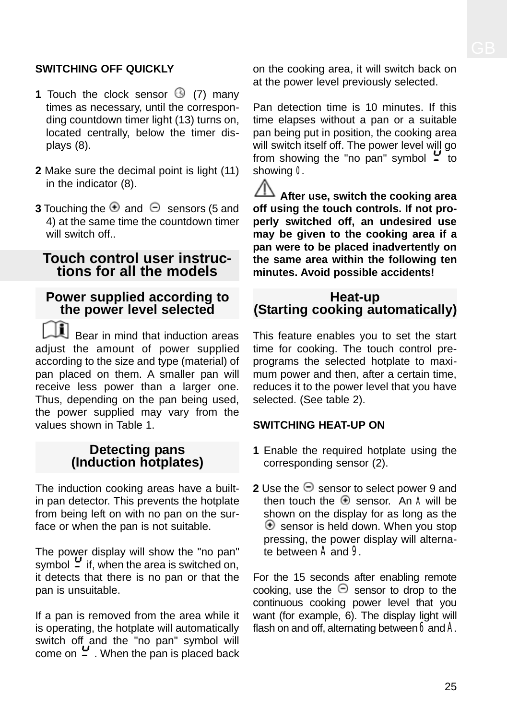### **SWITCHING OFF QUICKLY**

- **1** Touch the clock sensor  $\mathbb{G}$  (7) many times as necessary, until the corresponding countdown timer light (13) turns on, located centrally, below the timer displays (8).
- **2** Make sure the decimal point is light (11) in the indicator (8).
- **3** Touching the  $\oplus$  and  $\ominus$  sensors (5 and 4) at the same time the countdown timer will switch off...

### **Touch control user instructions for all the models**

### **Power supplied according to the power level selected**

Bear in mind that induction areas adjust the amount of power supplied according to the size and type (material) of pan placed on them. A smaller pan will receive less power than a larger one. Thus, depending on the pan being used, the power supplied may vary from the values shown in Table 1.

### **Detecting pans (Induction hotplates)**

The induction cooking areas have a builtin pan detector. This prevents the hotplate from being left on with no pan on the surface or when the pan is not suitable.

The power display will show the "no pan" symbol  $\frac{1}{2}$  if, when the area is switched on, it detects that there is no pan or that the pan is unsuitable.

If a pan is removed from the area while it is operating, the hotplate will automatically switch off and the "no pan" symbol will come on  $\frac{1}{2}$ . When the pan is placed back on the cooking area, it will switch back on at the power level previously selected.

Pan detection time is 10 minutes. If this time elapses without a pan or a suitable pan being put in position, the cooking area will switch itself off. The power level will go from showing the "no pan" symbol  $\frac{1}{2}$  to showing 0.

**After use, switch the cooking area off using the touch controls. If not properly switched off, an undesired use may be given to the cooking area if a pan were to be placed inadvertently on the same area within the following ten minutes. Avoid possible accidents!**

### **Heat-up (Starting cooking automatically)**

This feature enables you to set the start time for cooking. The touch control preprograms the selected hotplate to maximum power and then, after a certain time, reduces it to the power level that you have selected. (See table 2).

#### **SWITCHING HEAT-UP ON**

- **1** Enable the required hotplate using the corresponding sensor (2).
- **2** Use the  $\Theta$  sensor to select power 9 and then touch the  $\bigoplus$  sensor. An A will be shown on the display for as long as the  $\Theta$  sensor is held down. When you stop pressing, the power display will alternate between A and 9.

For the 15 seconds after enabling remote cooking, use the  $\Theta$  sensor to drop to the continuous cooking power level that you want (for example, 6). The display light will flash on and off, alternating between  $6$  and  $A$ .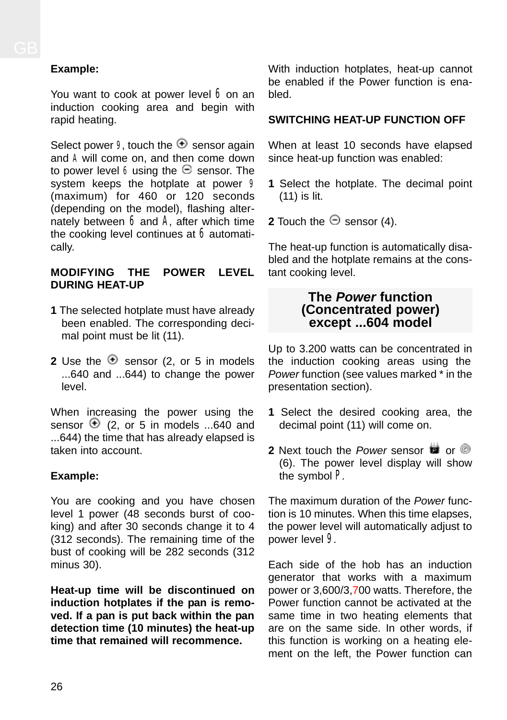### **Example:**

You want to cook at power level  $6$  on an induction cooking area and begin with rapid heating.

Select power 9, touch the  $\bigoplus$  sensor again and A will come on, and then come down to power level 6 using the  $\Theta$  sensor. The system keeps the hotplate at power 9 (maximum) for 460 or 120 seconds (depending on the model), flashing alternately between  $6$  and  $A$ , after which time the cooking level continues at  $6$  automatically.

#### **MODIFYING THE POWER LEVEL DURING HEAT-UP**

- **1** The selected hotplate must have already been enabled. The corresponding decimal point must be lit (11).
- **2** Use the  $\oplus$  sensor (2, or 5 in models ...640 and ...644) to change the power level.

When increasing the power using the sensor  $\oplus$  (2, or 5 in models ...640 and ...644) the time that has already elapsed is taken into account.

### **Example:**

You are cooking and you have chosen level 1 power (48 seconds burst of cooking) and after 30 seconds change it to 4 (312 seconds). The remaining time of the bust of cooking will be 282 seconds (312 minus 30).

**Heat-up time will be discontinued on induction hotplates if the pan is removed. If a pan is put back within the pan detection time (10 minutes) the heat-up time that remained will recommence.**

With induction hotplates, heat-up cannot be enabled if the Power function is enabled.

### **SWITCHING HEAT-UP FUNCTION OFF**

When at least 10 seconds have elapsed since heat-up function was enabled:

- **1** Select the hotplate. The decimal point (11) is lit.
- **2** Touch the  $\Theta$  sensor (4).

The heat-up function is automatically disabled and the hotplate remains at the constant cooking level.

#### **The** *Power* **function (Concentrated power) except ...604 model**

Up to 3.200 watts can be concentrated in the induction cooking areas using the *Power* function (see values marked \* in the presentation section).

- **1** Select the desired cooking area, the decimal point (11) will come on.
- **2** Next touch the *Power* sensor **d** or **O** (6). The power level display will show the symbol P.

The maximum duration of the *Power* function is 10 minutes. When this time elapses, the power level will automatically adjust to power level 9.

Each side of the hob has an induction generator that works with a maximum power or 3,600/3,700 watts. Therefore, the Power function cannot be activated at the same time in two heating elements that are on the same side. In other words, if this function is working on a heating element on the left, the Power function can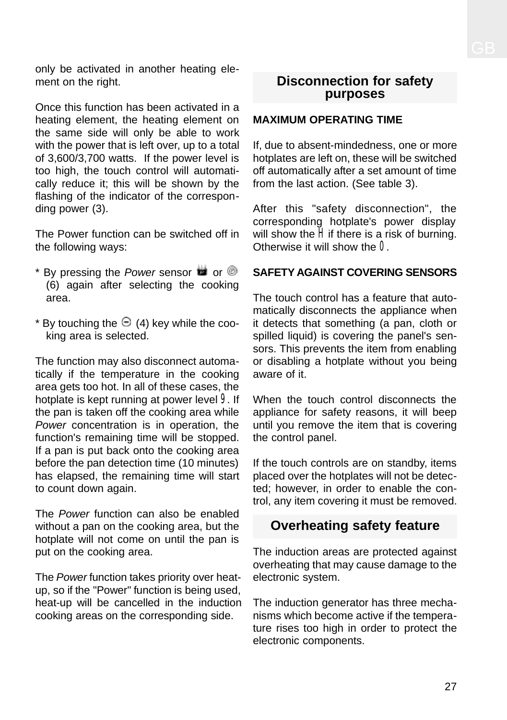only be activated in another heating element on the right.

Once this function has been activated in a heating element, the heating element on the same side will only be able to work with the power that is left over, up to a total of 3,600/3,700 watts. If the power level is too high, the touch control will automatically reduce it; this will be shown by the flashing of the indicator of the corresponding power (3).

The Power function can be switched off in the following ways:

- \* By pressing the *Power* sensor **det** or  $\circledcirc$ (6) again after selecting the cooking area.
- \* By touching the  $\Theta$  (4) key while the cooking area is selected.

The function may also disconnect automatically if the temperature in the cooking area gets too hot. In all of these cases, the hotplate is kept running at power level 9. If the pan is taken off the cooking area while *Power* concentration is in operation, the function's remaining time will be stopped. If a pan is put back onto the cooking area before the pan detection time (10 minutes) has elapsed, the remaining time will start to count down again.

The *Power* function can also be enabled without a pan on the cooking area, but the hotplate will not come on until the pan is put on the cooking area.

The *Power* function takes priority over heatup, so if the "Power" function is being used, heat-up will be cancelled in the induction cooking areas on the corresponding side.

### **Disconnection for safety purposes**

#### **MAXIMUM OPERATING TIME**

If, due to absent-mindedness, one or more hotplates are left on, these will be switched off automatically after a set amount of time from the last action. (See table 3).

After this "safety disconnection", the corresponding hotplate's power display will show the  $\tilde{H}$  if there is a risk of burning. Otherwise it will show the 0.

#### **SAFETY AGAINST COVERING SENSORS**

The touch control has a feature that automatically disconnects the appliance when it detects that something (a pan, cloth or spilled liquid) is covering the panel's sensors. This prevents the item from enabling or disabling a hotplate without you being aware of it.

When the touch control disconnects the appliance for safety reasons, it will beep until you remove the item that is covering the control panel.

If the touch controls are on standby, items placed over the hotplates will not be detected; however, in order to enable the control, any item covering it must be removed.

## **Overheating safety feature**

The induction areas are protected against overheating that may cause damage to the electronic system.

The induction generator has three mechanisms which become active if the temperature rises too high in order to protect the electronic components.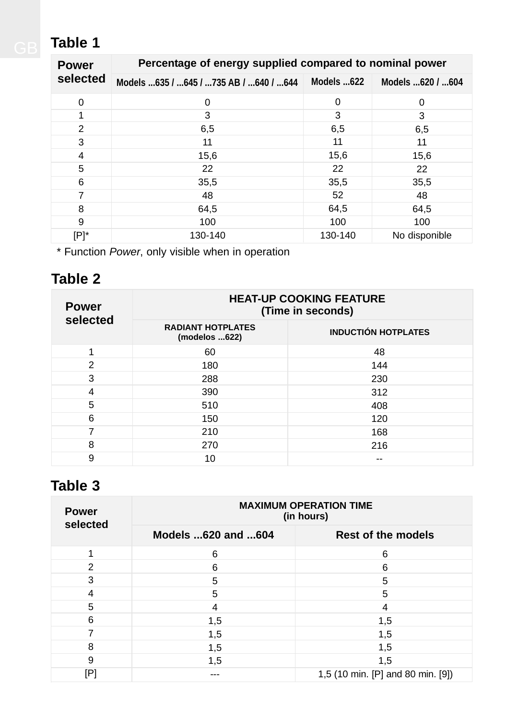# **Table 1**

| <b>Power</b>   | Percentage of energy supplied compared to nominal power |            |                    |
|----------------|---------------------------------------------------------|------------|--------------------|
| selected       | Models 635 / 645 / 735 AB / 640 / 644                   | Models 622 | Models  620 /  604 |
| 0              | 0                                                       | $\Omega$   | 0                  |
|                | 3                                                       | 3          | 3                  |
| $\overline{2}$ | 6,5                                                     | 6,5        | 6,5                |
| 3              | 11                                                      | 11         | 11                 |
| 4              | 15,6                                                    | 15,6       | 15,6               |
| 5              | 22                                                      | 22         | 22                 |
| 6              | 35,5                                                    | 35,5       | 35,5               |
|                | 48                                                      | 52         | 48                 |
| 8              | 64,5                                                    | 64,5       | 64,5               |
| 9              | 100                                                     | 100        | 100                |
| [P]*           | 130-140                                                 | 130-140    | No disponible      |

\* Function *Power*, only visible when in operation

# **Table 2**

| <b>Power</b> | <b>HEAT-UP COOKING FEATURE</b><br>(Time in seconds) |                            |  |
|--------------|-----------------------------------------------------|----------------------------|--|
| selected     | <b>RADIANT HOTPLATES</b><br>(modelos 622)           | <b>INDUCTIÓN HOTPLATES</b> |  |
| 1            | 60                                                  | 48                         |  |
| 2            | 180                                                 | 144                        |  |
| 3            | 288                                                 | 230                        |  |
| 4            | 390                                                 | 312                        |  |
| 5            | 510                                                 | 408                        |  |
| 6            | 150                                                 | 120                        |  |
| 7            | 210                                                 | 168                        |  |
| 8            | 270                                                 | 216                        |  |
| 9            | 10                                                  |                            |  |

# **Table 3**

| <b>Power</b><br>selected | <b>MAXIMUM OPERATION TIME</b><br>(in hours) |                                   |  |
|--------------------------|---------------------------------------------|-----------------------------------|--|
|                          | Models 620 and 604                          | Rest of the models                |  |
|                          | 6                                           | 6                                 |  |
| $\overline{2}$           | 6                                           | 6                                 |  |
| 3                        | 5                                           | 5                                 |  |
| 4                        | 5                                           | 5                                 |  |
| 5                        | 4                                           | 4                                 |  |
| 6                        | 1,5                                         | 1,5                               |  |
| 7                        | 1,5                                         | 1,5                               |  |
| 8                        | 1,5                                         | 1,5                               |  |
| 9                        | 1,5                                         | 1,5                               |  |
| lЬ.                      |                                             | 1,5 (10 min. [P] and 80 min. [9]) |  |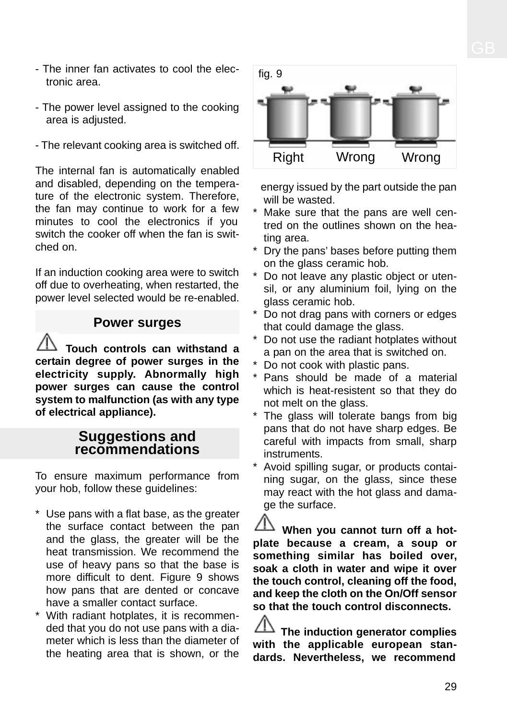- The inner fan activates to cool the electronic area.
- The power level assigned to the cooking area is adjusted.
- The relevant cooking area is switched off.

The internal fan is automatically enabled and disabled, depending on the temperature of the electronic system. Therefore, the fan may continue to work for a few minutes to cool the electronics if you switch the cooker off when the fan is switched on.

If an induction cooking area were to switch off due to overheating, when restarted, the power level selected would be re-enabled.

### **Power surges**

**Touch controls can withstand a certain degree of power surges in the electricity supply. Abnormally high power surges can cause the control system to malfunction (as with any type of electrical appliance).**

### **Suggestions and recommendations**

To ensure maximum performance from your hob, follow these guidelines:

- \* Use pans with a flat base, as the greater the surface contact between the pan and the glass, the greater will be the heat transmission. We recommend the use of heavy pans so that the base is more difficult to dent. Figure 9 shows how pans that are dented or concave have a smaller contact surface.
- \* With radiant hotplates, it is recommended that you do not use pans with a diameter which is less than the diameter of the heating area that is shown, or the



energy issued by the part outside the pan will be wasted.

- Make sure that the pans are well centred on the outlines shown on the heating area.
- \* Dry the pans' bases before putting them on the glass ceramic hob.
- Do not leave any plastic object or utensil, or any aluminium foil, lying on the glass ceramic hob.
- Do not drag pans with corners or edges that could damage the glass.
- \* Do not use the radiant hotplates without a pan on the area that is switched on.
- Do not cook with plastic pans.
- \* Pans should be made of a material which is heat-resistent so that they do not melt on the glass.
- \* The glass will tolerate bangs from big pans that do not have sharp edges. Be careful with impacts from small, sharp instruments.
- Avoid spilling sugar, or products containing sugar, on the glass, since these may react with the hot glass and damage the surface.

**When you cannot turn off a hotplate because a cream, a soup or something similar has boiled over, soak a cloth in water and wipe it over the touch control, cleaning off the food, and keep the cloth on the On/Off sensor so that the touch control disconnects.**

**The induction generator complies with the applicable european standards. Nevertheless, we recommend**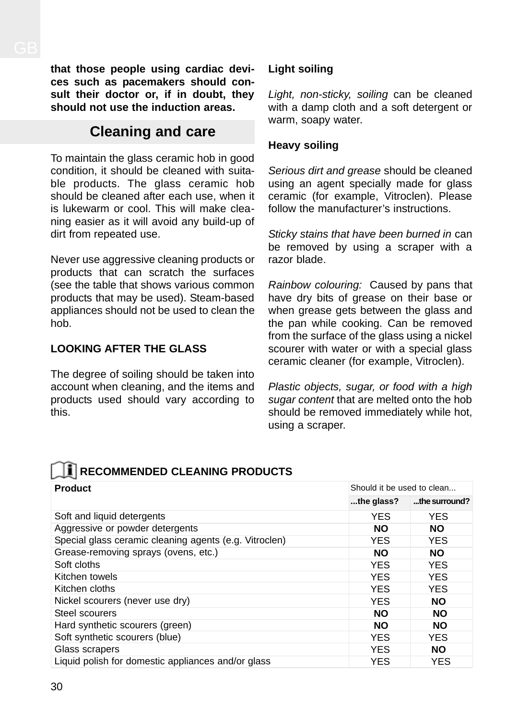**that those people using cardiac devices such as pacemakers should consult their doctor or, if in doubt, they should not use the induction areas.**

## **Cleaning and care**

To maintain the glass ceramic hob in good condition, it should be cleaned with suitable products. The glass ceramic hob should be cleaned after each use, when it is lukewarm or cool. This will make cleaning easier as it will avoid any build-up of dirt from repeated use.

Never use aggressive cleaning products or products that can scratch the surfaces (see the table that shows various common products that may be used). Steam-based appliances should not be used to clean the hob.

### **LOOKING AFTER THE GLASS**

The degree of soiling should be taken into account when cleaning, and the items and products used should vary according to this.

#### **Light soiling**

*Light, non-sticky, soiling* can be cleaned with a damp cloth and a soft detergent or warm, soapy water.

#### **Heavy soiling**

*Serious dirt and grease* should be cleaned using an agent specially made for glass ceramic (for example, Vitroclen). Please follow the manufacturer's instructions.

*Sticky stains that have been burned in* can be removed by using a scraper with a razor blade.

*Rainbow colouring:* Caused by pans that have dry bits of grease on their base or when grease gets between the glass and the pan while cooking. Can be removed from the surface of the glass using a nickel scourer with water or with a special glass ceramic cleaner (for example, Vitroclen).

*Plastic objects, sugar, or food with a high sugar content* that are melted onto the hob should be removed immediately while hot, using a scraper.

## **RECOMMENDED CLEANING PRODUCTS**

| <b>Product</b>                                         | Should it be used to clean |               |  |
|--------------------------------------------------------|----------------------------|---------------|--|
|                                                        | the glass?                 | the surround? |  |
| Soft and liquid detergents                             | <b>YES</b>                 | <b>YES</b>    |  |
| Aggressive or powder detergents                        | <b>NO</b>                  | <b>NO</b>     |  |
| Special glass ceramic cleaning agents (e.g. Vitroclen) | <b>YES</b>                 | <b>YES</b>    |  |
| Grease-removing sprays (ovens, etc.)                   | <b>NO</b>                  | <b>NO</b>     |  |
| Soft cloths                                            | <b>YES</b>                 | YES.          |  |
| Kitchen towels                                         | <b>YES</b>                 | <b>YES</b>    |  |
| Kitchen cloths                                         | <b>YES</b>                 | <b>YES</b>    |  |
| Nickel scourers (never use dry)                        | <b>YES</b>                 | <b>NO</b>     |  |
| Steel scourers                                         | <b>NO</b>                  | <b>NO</b>     |  |
| Hard synthetic scourers (green)                        | <b>NO</b>                  | <b>NO</b>     |  |
| Soft synthetic scourers (blue)                         | YES                        | <b>YES</b>    |  |
| Glass scrapers                                         | <b>YES</b>                 | <b>NO</b>     |  |
| Liquid polish for domestic appliances and/or glass     | <b>YES</b>                 | YES           |  |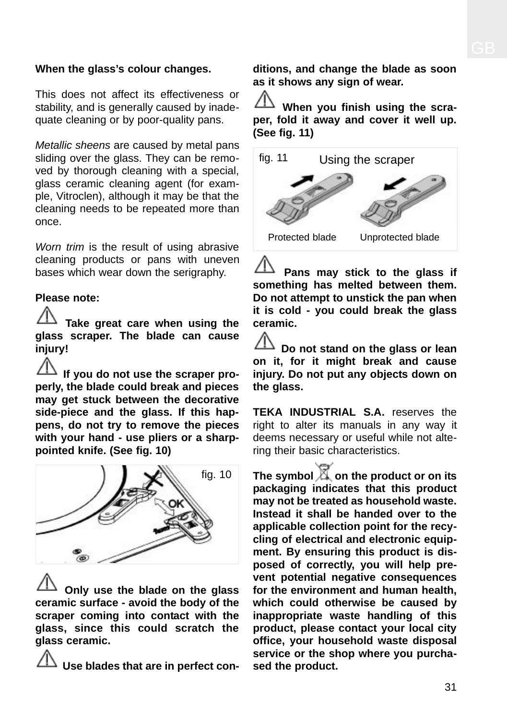#### **When the glass's colour changes.**

This does not affect its effectiveness or stability, and is generally caused by inadequate cleaning or by poor-quality pans.

*Metallic sheens* are caused by metal pans sliding over the glass. They can be removed by thorough cleaning with a special, glass ceramic cleaning agent (for example, Vitroclen), although it may be that the cleaning needs to be repeated more than once.

*Worn trim* is the result of using abrasive cleaning products or pans with uneven bases which wear down the serigraphy.

#### **Please note:**

**Take great care when using the glass scraper. The blade can cause injury!**

**If you do not use the scraper properly, the blade could break and pieces may get stuck between the decorative side-piece and the glass. If this happens, do not try to remove the pieces with your hand - use pliers or a sharppointed knife. (See fig. 10)**



**Only use the blade on the glass ceramic surface - avoid the body of the scraper coming into contact with the glass, since this could scratch the glass ceramic.**

**Use blades that are in perfect con-**

**ditions, and change the blade as soon as it shows any sign of wear.**

**When you finish using the scraper, fold it away and cover it well up. (See fig. 11)**



**Pans may stick to the glass if something has melted between them. Do not attempt to unstick the pan when it is cold - you could break the glass ceramic.**

**Do not stand on the glass or lean on it, for it might break and cause injury. Do not put any objects down on the glass.**

**TEKA INDUSTRIAL S.A.** reserves the right to alter its manuals in any way it deems necessary or useful while not altering their basic characteristics.

**The symbol**  $\mathbb{X}$  **on the product or on its packaging indicates that this product may not be treated as household waste. Instead it shall be handed over to the applicable collection point for the recycling of electrical and electronic equipment. By ensuring this product is disposed of correctly, you will help prevent potential negative consequences for the environment and human health, which could otherwise be caused by inappropriate waste handling of this product, please contact your local city office, your household waste disposal service or the shop where you purchased the product.**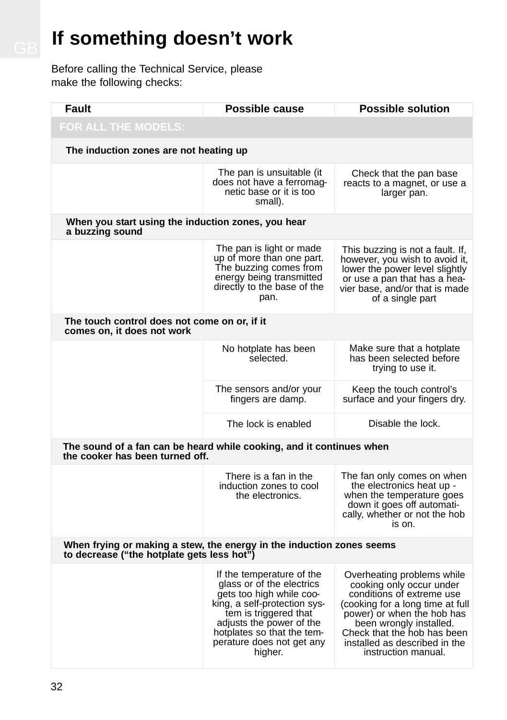# **If** something doesn't work

Before calling the Technical Service, please make the following checks:

| Fault                                                                                                               | Possible cause                                                                                                                                                                                                                                | <b>Possible solution</b>                                                                                                                                                                                                                                                |  |
|---------------------------------------------------------------------------------------------------------------------|-----------------------------------------------------------------------------------------------------------------------------------------------------------------------------------------------------------------------------------------------|-------------------------------------------------------------------------------------------------------------------------------------------------------------------------------------------------------------------------------------------------------------------------|--|
| FOR ALL THE MODELS:                                                                                                 |                                                                                                                                                                                                                                               |                                                                                                                                                                                                                                                                         |  |
| The induction zones are not heating up                                                                              |                                                                                                                                                                                                                                               |                                                                                                                                                                                                                                                                         |  |
|                                                                                                                     | The pan is unsuitable (it<br>does not have a ferromag-<br>netic base or it is too<br>small).                                                                                                                                                  | Check that the pan base<br>reacts to a magnet, or use a<br>larger pan.                                                                                                                                                                                                  |  |
| When you start using the induction zones, you hear<br>a buzzing sound                                               |                                                                                                                                                                                                                                               |                                                                                                                                                                                                                                                                         |  |
|                                                                                                                     | The pan is light or made<br>up of more than one part.<br>The buzzing comes from<br>energy being transmitted<br>directly to the base of the<br>pan.                                                                                            | This buzzing is not a fault. If,<br>however, you wish to avoid it,<br>lower the power level slightly<br>or use a pan that has a hea-<br>vier base, and/or that is made<br>of a single part                                                                              |  |
| The touch control does not come on or, if it<br>comes on, it does not work                                          |                                                                                                                                                                                                                                               |                                                                                                                                                                                                                                                                         |  |
|                                                                                                                     | No hotplate has been<br>selected.                                                                                                                                                                                                             | Make sure that a hotplate<br>has been selected before<br>trying to use it.                                                                                                                                                                                              |  |
|                                                                                                                     | The sensors and/or your<br>fingers are damp.                                                                                                                                                                                                  | Keep the touch control's<br>surface and your fingers dry.                                                                                                                                                                                                               |  |
|                                                                                                                     | The lock is enabled                                                                                                                                                                                                                           | Disable the lock.                                                                                                                                                                                                                                                       |  |
| The sound of a fan can be heard while cooking, and it continues when<br>the cooker has been turned off.             |                                                                                                                                                                                                                                               |                                                                                                                                                                                                                                                                         |  |
|                                                                                                                     | There is a fan in the<br>induction zones to cool<br>the electronics.                                                                                                                                                                          | The fan only comes on when<br>the electronics heat up -<br>when the temperature goes<br>down it goes off automati-<br>cally, whether or not the hob<br>is on.                                                                                                           |  |
| When frying or making a stew, the energy in the induction zones seems<br>to decrease ("the hotplate gets less hot") |                                                                                                                                                                                                                                               |                                                                                                                                                                                                                                                                         |  |
|                                                                                                                     | If the temperature of the<br>glass or of the electrics<br>gets too high while coo-<br>king, a self-protection sys-<br>tem is triggered that<br>adjusts the power of the<br>hotplates so that the tem-<br>perature does not get any<br>higher. | Overheating problems while<br>cooking only occur under<br>conditions of extreme use<br>(cooking for a long time at full<br>power) or when the hob has<br>been wrongly installed.<br>Check that the hob has been<br>installed as described in the<br>instruction manual. |  |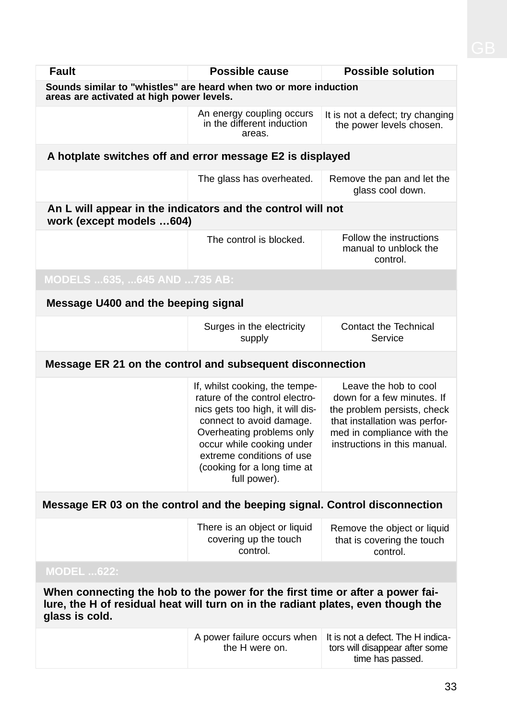| Fault                                                                                                                                                                               | Possible cause                                                                                                                                                                                                                                                         | <b>Possible solution</b>                                                                                                                                                          |  |  |
|-------------------------------------------------------------------------------------------------------------------------------------------------------------------------------------|------------------------------------------------------------------------------------------------------------------------------------------------------------------------------------------------------------------------------------------------------------------------|-----------------------------------------------------------------------------------------------------------------------------------------------------------------------------------|--|--|
| Sounds similar to "whistles" are heard when two or more induction<br>areas are activated at high power levels.                                                                      |                                                                                                                                                                                                                                                                        |                                                                                                                                                                                   |  |  |
|                                                                                                                                                                                     | An energy coupling occurs<br>in the different induction<br>areas.                                                                                                                                                                                                      | It is not a defect; try changing<br>the power levels chosen.                                                                                                                      |  |  |
| A hotplate switches off and error message E2 is displayed                                                                                                                           |                                                                                                                                                                                                                                                                        |                                                                                                                                                                                   |  |  |
|                                                                                                                                                                                     | The glass has overheated.                                                                                                                                                                                                                                              | Remove the pan and let the<br>glass cool down.                                                                                                                                    |  |  |
| An L will appear in the indicators and the control will not<br>work (except models 604)                                                                                             |                                                                                                                                                                                                                                                                        |                                                                                                                                                                                   |  |  |
|                                                                                                                                                                                     | The control is blocked.                                                                                                                                                                                                                                                | Follow the instructions<br>manual to unblock the<br>control.                                                                                                                      |  |  |
| MODELS  635,  645 AND  735 AB:                                                                                                                                                      |                                                                                                                                                                                                                                                                        |                                                                                                                                                                                   |  |  |
| Message U400 and the beeping signal                                                                                                                                                 |                                                                                                                                                                                                                                                                        |                                                                                                                                                                                   |  |  |
|                                                                                                                                                                                     | Surges in the electricity<br>supply                                                                                                                                                                                                                                    | Contact the Technical<br>Service                                                                                                                                                  |  |  |
| Message ER 21 on the control and subsequent disconnection                                                                                                                           |                                                                                                                                                                                                                                                                        |                                                                                                                                                                                   |  |  |
|                                                                                                                                                                                     | If, whilst cooking, the tempe-<br>rature of the control electro-<br>nics gets too high, it will dis-<br>connect to avoid damage.<br>Overheating problems only<br>occur while cooking under<br>extreme conditions of use<br>(cooking for a long time at<br>full power). | Leave the hob to cool<br>down for a few minutes. If<br>the problem persists, check<br>that installation was perfor-<br>med in compliance with the<br>instructions in this manual. |  |  |
| Message ER 03 on the control and the beeping signal. Control disconnection                                                                                                          |                                                                                                                                                                                                                                                                        |                                                                                                                                                                                   |  |  |
|                                                                                                                                                                                     | There is an object or liquid<br>covering up the touch<br>control.                                                                                                                                                                                                      | Remove the object or liquid<br>that is covering the touch<br>control.                                                                                                             |  |  |
| <b>MODEL 622:</b>                                                                                                                                                                   |                                                                                                                                                                                                                                                                        |                                                                                                                                                                                   |  |  |
| When connecting the hob to the power for the first time or after a power fai-<br>lure, the H of residual heat will turn on in the radiant plates, even though the<br>glass is cold. |                                                                                                                                                                                                                                                                        |                                                                                                                                                                                   |  |  |
|                                                                                                                                                                                     | A power failure occurs when<br>the H were on.                                                                                                                                                                                                                          | It is not a defect. The H indica-<br>tors will disappear after some<br>time has passed.                                                                                           |  |  |